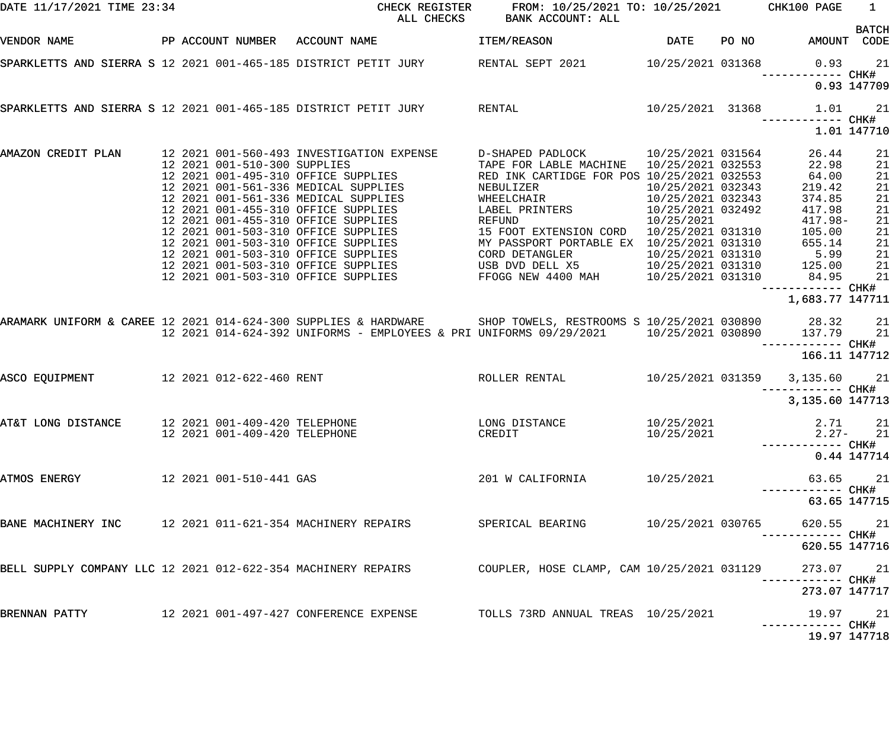| DATE 11/17/2021 TIME 23:34                                    |                               | CHECK REGISTER<br>ALL CHECKS                                                                                     | FROM: 10/25/2021 TO: 10/25/2021 CHK100 PAGE<br>BANK ACCOUNT: ALL                                          |                   |       |                                   | $\mathbf{1}$ |
|---------------------------------------------------------------|-------------------------------|------------------------------------------------------------------------------------------------------------------|-----------------------------------------------------------------------------------------------------------|-------------------|-------|-----------------------------------|--------------|
| VENDOR NAME                                                   |                               | PP ACCOUNT NUMBER ACCOUNT NAME                                                                                   | <b>ITEM/REASON</b>                                                                                        | <b>DATE</b>       | PO NO | AMOUNT CODE                       | <b>BATCH</b> |
|                                                               |                               | SPARKLETTS AND SIERRA S 12 2021 001-465-185 DISTRICT PETIT JURY   RENTAL SEPT 2021   10/25/2021 031368           |                                                                                                           |                   |       | 0.93<br>------------ CHK#         | 21           |
|                                                               |                               |                                                                                                                  |                                                                                                           |                   |       |                                   | 0.93 147709  |
|                                                               |                               | SPARKLETTS AND SIERRA S 12 2021 001-465-185 DISTRICT PETIT JURY RENTAL                                           |                                                                                                           | 10/25/2021 31368  |       | 1.01                              | 21           |
|                                                               |                               |                                                                                                                  |                                                                                                           |                   |       |                                   | 1.01 147710  |
| AMAZON CREDIT PLAN 12 2021 001-560-493 INVESTIGATION EXPENSE  | 12 2021 001-510-300 SUPPLIES  |                                                                                                                  | D-SHAPED PADLOCK 10/25/2021 031564<br>TAPE FOR LABLE MACHINE  10/25/2021 032553                           |                   |       | 26.44<br>22.98                    | 21<br>21     |
|                                                               |                               | 12 2021 001-495-310 OFFICE SUPPLIES                                                                              |                                                                                                           |                   |       | 64.00                             | 21           |
|                                                               |                               | 12 2021 001-561-336 MEDICAL SUPPLIES                                                                             | RED INK CARTIDGE FOR POS 10/25/2021 032553<br>NEBULIZER 10/25/2021 032343<br>WHEELCHAIR 10/25/2021 032343 |                   |       | 219.42                            | 21           |
|                                                               |                               | 12 2021 001-561-336 MEDICAL SUPPLIES                                                                             |                                                                                                           |                   |       | 374.85                            | 21           |
|                                                               |                               | 12 2021 001-455-310 OFFICE SUPPLIES                                                                              | LABEL PRINTERS                                                                                            | 10/25/2021 032492 |       | 417.98                            | 21           |
|                                                               |                               | 12 2021 001-455-310 OFFICE SUPPLIES                                                                              | REFUND                                                                                                    | 10/25/2021        |       | $417.98 -$                        | 21           |
|                                                               |                               | 12 2021 001-503-310 OFFICE SUPPLIES                                                                              | 15 FOOT EXTENSION CORD  10/25/2021 031310                                                                 |                   |       | 105.00                            | 21           |
|                                                               |                               | 12 2021 001-503-310 OFFICE SUPPLIES                                                                              | MY PASSPORT PORTABLE EX 10/25/2021 031310                                                                 |                   |       | 655.14                            | 21           |
|                                                               |                               | 12 2021 001-503-310 OFFICE SUPPLIES                                                                              | CORD DETANGLER                                                                                            | 10/25/2021 031310 |       | 5.99                              | 21           |
|                                                               |                               | 12 2021 001-503-310 OFFICE SUPPLIES                                                                              |                                                                                                           |                   |       | 125.00                            | 21           |
|                                                               |                               | 12 2021 001-503-310 OFFICE SUPPLIES                                                                              | USB DVD DELL X5 10/25/2021 031310<br>FFOGG NEW 4400 MAH 10/25/2021 031310                                 |                   |       | 84.95                             | 21           |
|                                                               |                               |                                                                                                                  |                                                                                                           |                   |       | ------------ CHK#                 |              |
|                                                               |                               |                                                                                                                  |                                                                                                           |                   |       | 1,683.77 147711                   |              |
|                                                               |                               | ARAMARK UNIFORM & CAREE 12 2021 014-624-300 SUPPLIES & HARDWARE SHOP TOWELS, RESTROOMS S 10/25/2021 030890 28.32 |                                                                                                           |                   |       |                                   | 21           |
|                                                               |                               | 12 2021 014-624-392 UNIFORMS - EMPLOYEES & PRI UNIFORMS 09/29/2021 10/25/2021 030890 137.79                      |                                                                                                           |                   |       |                                   | 21           |
|                                                               |                               |                                                                                                                  |                                                                                                           |                   |       | —————————— CHK#                   |              |
|                                                               |                               |                                                                                                                  |                                                                                                           |                   |       | 166.11 147712                     |              |
| ASCO EQUIPMENT                                                | 12 2021 012-622-460 RENT      |                                                                                                                  | ROLLER RENTAL 10/25/2021 031359 3,135.60 21                                                               |                   |       |                                   |              |
|                                                               |                               |                                                                                                                  |                                                                                                           |                   |       | 3,135.60 147713                   |              |
|                                                               |                               |                                                                                                                  |                                                                                                           |                   |       |                                   |              |
| AT&T LONG DISTANCE 12 2021 001-409-420 TELEPHONE              |                               |                                                                                                                  | LONG DISTANCE                                                                                             | 10/25/2021        |       |                                   | 2.71 21      |
|                                                               | 12 2021 001-409-420 TELEPHONE |                                                                                                                  | CREDIT                                                                                                    | 10/25/2021        |       |                                   | $2.27 - 21$  |
|                                                               |                               |                                                                                                                  |                                                                                                           |                   |       |                                   |              |
|                                                               |                               |                                                                                                                  |                                                                                                           |                   |       |                                   | 0.44 147714  |
| ATMOS ENERGY                                                  | 12 2021 001-510-441 GAS       |                                                                                                                  | 201 W CALIFORNIA                                                                                          | 10/25/2021        |       | ----------- CHK#                  | 63.65 21     |
|                                                               |                               |                                                                                                                  |                                                                                                           |                   |       |                                   | 63.65 147715 |
| BANE MACHINERY INC 12 2021 011-621-354 MACHINERY REPAIRS      |                               |                                                                                                                  | SPERICAL BEARING                                                                                          | 10/25/2021 030765 |       | 620.55 21<br>----------- CHK#     |              |
|                                                               |                               |                                                                                                                  |                                                                                                           |                   |       | 620.55 147716                     |              |
| BELL SUPPLY COMPANY LLC 12 2021 012-622-354 MACHINERY REPAIRS |                               |                                                                                                                  | COUPLER, HOSE CLAMP, CAM 10/25/2021 031129                                                                |                   |       | 273.07 21                         |              |
|                                                               |                               |                                                                                                                  |                                                                                                           |                   |       | ----------- CHK#<br>273.07 147717 |              |
| BRENNAN PATTY                                                 |                               | 12  2021  001-497-427  CONFERENCE EXPENSE                                                                        | TOLLS 73RD ANNUAL TREAS 10/25/2021                                                                        |                   |       | 19.97 21                          |              |
|                                                               |                               |                                                                                                                  |                                                                                                           |                   |       | ------------ CHK#                 | 19.97 147718 |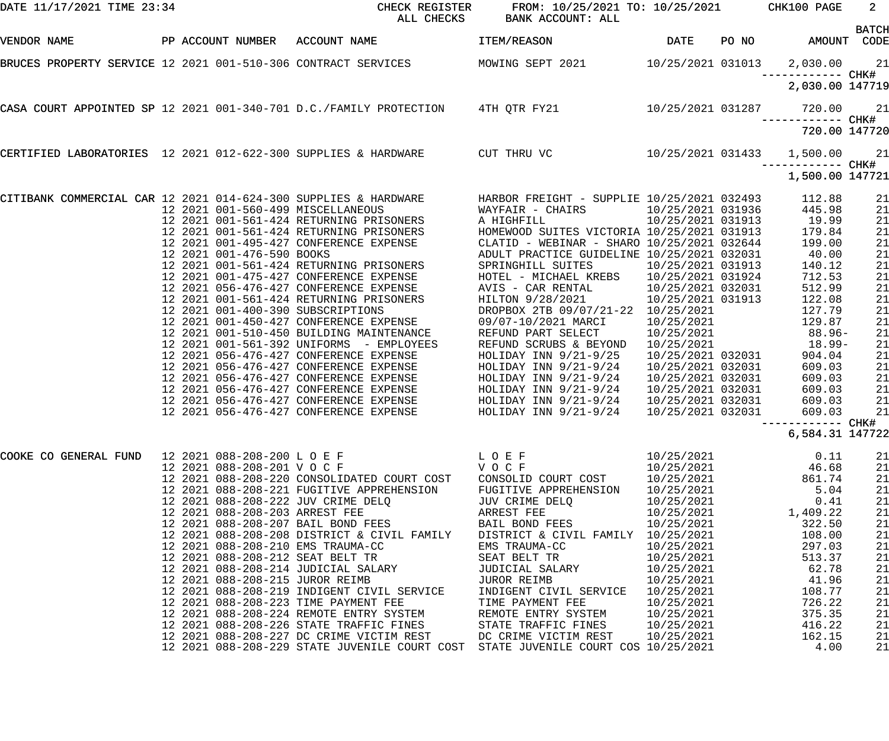| DATE 11/17/2021 TIME 23:34 |                                    | CHECK REGISTER<br>ALL CHECKS                                                                                                                                        | FROM: 10/25/2021 TO: 10/25/2021 CHK100 PAGE<br>BANK ACCOUNT: ALL |                                        |       |                    | $2^{\circ}$<br><b>BATCH</b> |
|----------------------------|------------------------------------|---------------------------------------------------------------------------------------------------------------------------------------------------------------------|------------------------------------------------------------------|----------------------------------------|-------|--------------------|-----------------------------|
| VENDOR NAME                |                                    | PP ACCOUNT NUMBER ACCOUNT NAME                                                                                                                                      | <b>ITEM/REASON</b>                                               | <b>DATE</b>                            | PO NO |                    | AMOUNT CODE                 |
|                            |                                    | BRUCES PROPERTY SERVICE 12 2021 001-510-306 CONTRACT SERVICES MOWING SEPT 2021 10/25/2021 031013 2,030.00 21                                                        |                                                                  |                                        |       |                    |                             |
|                            |                                    |                                                                                                                                                                     |                                                                  |                                        |       | 2,030.00 147719    |                             |
|                            |                                    | CASA COURT APPOINTED SP 12 2021 001-340-701 D.C./FAMILY PROTECTION 4TH QTR FY21 10/25/2021 031287                                                                   |                                                                  |                                        |       | 720.00             | 21                          |
|                            |                                    |                                                                                                                                                                     |                                                                  |                                        |       | 720.00 147720      |                             |
|                            |                                    | CERTIFIED LABORATORIES 12 2021 012-622-300 SUPPLIES & HARDWARE CUT THRU VC 10/25/2021 031433 1,500.00                                                               |                                                                  |                                        |       |                    | 21                          |
|                            |                                    |                                                                                                                                                                     |                                                                  |                                        |       | 1,500.00 147721    |                             |
|                            |                                    |                                                                                                                                                                     |                                                                  |                                        |       | 112.88             | 21                          |
|                            | 12 2021 001-560-499 MISCELLANEOUS  |                                                                                                                                                                     | WAYFAIR - CHAIRS<br>A HIGHFILL                                   | 10/25/2021 031936<br>10/25/2021 031913 |       | 445.98<br>19.99    | 21<br>21                    |
|                            |                                    | 12  2021  001-561-424 RETURNING PRISONERS<br>12  2021  001-561-424 RETURNING PRISONERS<br>12  2021  001-495-427  CONFERENCE EXPENSE<br>12  2021  001-476-590  BOOKS | HOMEWOOD SUITES VICTORIA 10/25/2021 031913                       |                                        |       | 179.84             | 21                          |
|                            |                                    |                                                                                                                                                                     | CLATID - WEBINAR - SHARO 10/25/2021 032644                       |                                        |       | 199.00             | 21                          |
|                            | 12 2021 001-476-590 BOOKS          |                                                                                                                                                                     | ADULT PRACTICE GUIDELINE 10/25/2021 032031                       |                                        |       | 40.00              | 21                          |
|                            |                                    |                                                                                                                                                                     | SPRINGHILL SUITES                                                | 10/25/2021 031913                      |       | 140.12             | 21                          |
|                            |                                    | 12  2021  001-561-424  RETURNING  PRISONERS<br>12  2021  001-475-427  CONFERENCE  EXPENSE<br>12  2021  056-476-427  CONFERENCE  EXPENSE                             | HOTEL - MICHAEL KREBS                                            | 10/25/2021 031924                      |       | 712.53             | 21                          |
|                            |                                    |                                                                                                                                                                     | AVIS - CAR RENTAL                                                | 10/25/2021 032031                      |       | 512.99             | 21                          |
|                            |                                    | 12  2021  001-561-424  RETURNING  PRISONERS                                                                                                                         | HILTON 9/28/2021                                                 | 10/25/2021 031913                      |       | 122.08             | 21                          |
|                            | 12 2021 001-400-390 SUBSCRIPTIONS  |                                                                                                                                                                     | DROPBOX 2TB 09/07/21-22 10/25/2021                               |                                        |       | 127.79             | 21                          |
|                            |                                    | 12 2021 001-510-450 BUILDING MAINTENANCE                                                                                                                            | 09/07-10/2021 MARCI                                              | 10/25/2021                             |       | 129.87<br>$88.96-$ | 21                          |
|                            |                                    | 12 2021 001-561-392 UNIFORMS - EMPLOYEES                                                                                                                            | REFUND PART SELECT<br>REFUND SCRUBS & BEYOND                     | 10/25/2021<br>10/25/2021               |       | 18.99-             | 21<br>21                    |
|                            |                                    | 12 2021 056-476-427 CONFERENCE EXPENSE                                                                                                                              | HOLIDAY INN 9/21-9/25                                            | 10/25/2021 032031                      |       | 904.04             | 21                          |
|                            |                                    | 12 2021 056-476-427 CONFERENCE EXPENSE                                                                                                                              | HOLIDAY INN 9/21-9/24                                            | 10/25/2021 032031                      |       | 609.03             | 21                          |
|                            |                                    | 12 2021 056-476-427 CONFERENCE EXPENSE                                                                                                                              | HOLIDAY INN $9/21-9/24$                                          | 10/25/2021 032031                      |       | 609.03             | 21                          |
|                            |                                    | 12 2021 056-476-427 CONFERENCE EXPENSE                                                                                                                              | HOLIDAY INN $9/21-9/24$                                          | 10/25/2021 032031                      |       | 609.03             | 21                          |
|                            |                                    | 12 2021 056-476-427 CONFERENCE EXPENSE                                                                                                                              | HOLIDAY INN $9/21-9/24$                                          | 10/25/2021 032031                      |       | 609.03             | 21                          |
|                            |                                    | 12 2021 056-476-427 CONFERENCE EXPENSE                                                                                                                              | HOLIDAY INN 9/21-9/24                                            | 10/25/2021 032031                      |       | 609.03             | 21                          |
|                            |                                    |                                                                                                                                                                     |                                                                  |                                        |       |                    |                             |
|                            |                                    |                                                                                                                                                                     |                                                                  |                                        |       | 6,584.31 147722    |                             |
| COOKE CO GENERAL FUND      |                                    | 12 2021 088-208-200 L O E F<br>12 2021 088-208-201 V O C F                                                                                                          | LOEF                                                             | 10/25/2021                             |       | 0.11               | 21                          |
|                            | 12 2021 088-208-201 VOCF           |                                                                                                                                                                     | VOCF                                                             | 10/25/2021                             |       | 46.68              | 21                          |
|                            |                                    | 12 2021 088-208-220 CONSOLIDATED COURT COST                                                                                                                         | CONSOLID COURT COST                                              | 10/25/2021                             |       | 861.74             | 21                          |
|                            | 12 2021 088-208-222 JUV CRIME DELQ | 12 2021 088-208-221 FUGITIVE APPREHENSION                                                                                                                           | FUGITIVE APPREHENSION<br>JUV CRIME DELQ                          | 10/25/2021<br>10/25/2021               |       | 5.04<br>0.41       | 21<br>21                    |
|                            | 12 2021 088-208-203 ARREST FEE     |                                                                                                                                                                     | ARREST FEE                                                       | 10/25/2021                             |       | 1,409.22           | 21                          |
|                            | 12 2021 088-208-207 BAIL BOND FEES |                                                                                                                                                                     | BAIL BOND FEES                                                   | 10/25/2021                             |       | 322.50             | 21                          |
|                            |                                    | 12 2021 088-208-208 DISTRICT & CIVIL FAMILY                                                                                                                         | DISTRICT & CIVIL FAMILY 10/25/2021                               |                                        |       | 108.00             | 21                          |
|                            | 12 2021 088-208-210 EMS TRAUMA-CC  |                                                                                                                                                                     | EMS TRAUMA-CC                                                    | 10/25/2021                             |       | 297.03             | 21                          |
|                            | 12 2021 088-208-212 SEAT BELT TR   |                                                                                                                                                                     | SEAT BELT TR                                                     | 10/25/2021                             |       | 513.37             | 21                          |
|                            |                                    | 12 2021 088-208-214 JUDICIAL SALARY                                                                                                                                 | JUDICIAL SALARY                                                  | 10/25/2021                             |       | 62.78              | 21                          |
|                            | 12 2021 088-208-215 JUROR REIMB    |                                                                                                                                                                     | JUROR REIMB                                                      | 10/25/2021                             |       | 41.96              | 21                          |
|                            |                                    | 12 2021 088-208-219 INDIGENT CIVIL SERVICE                                                                                                                          | INDIGENT CIVIL SERVICE                                           | 10/25/2021                             |       | 108.77             | 21                          |
|                            |                                    | 12 2021 088-208-223 TIME PAYMENT FEE<br>12 2021 088-208-224 REMOTE ENTRY SYSTEM                                                                                     | TIME PAYMENT FEE<br>REMOTE ENTRY SYSTEM                          | 10/25/2021<br>10/25/2021               |       | 726.22<br>375.35   | 21<br>21                    |
|                            |                                    | 12 2021 088-208-226 STATE TRAFFIC FINES                                                                                                                             | STATE TRAFFIC FINES                                              | 10/25/2021                             |       | 416.22             | 21                          |
|                            |                                    | 12 2021 088-208-227 DC CRIME VICTIM REST                                                                                                                            | DC CRIME VICTIM REST                                             | 10/25/2021                             |       | 162.15             | 21                          |
|                            |                                    | 12 2021 088-208-229 STATE JUVENILE COURT COST STATE JUVENILE COURT COS 10/25/2021                                                                                   |                                                                  |                                        |       | 4.00               | 21                          |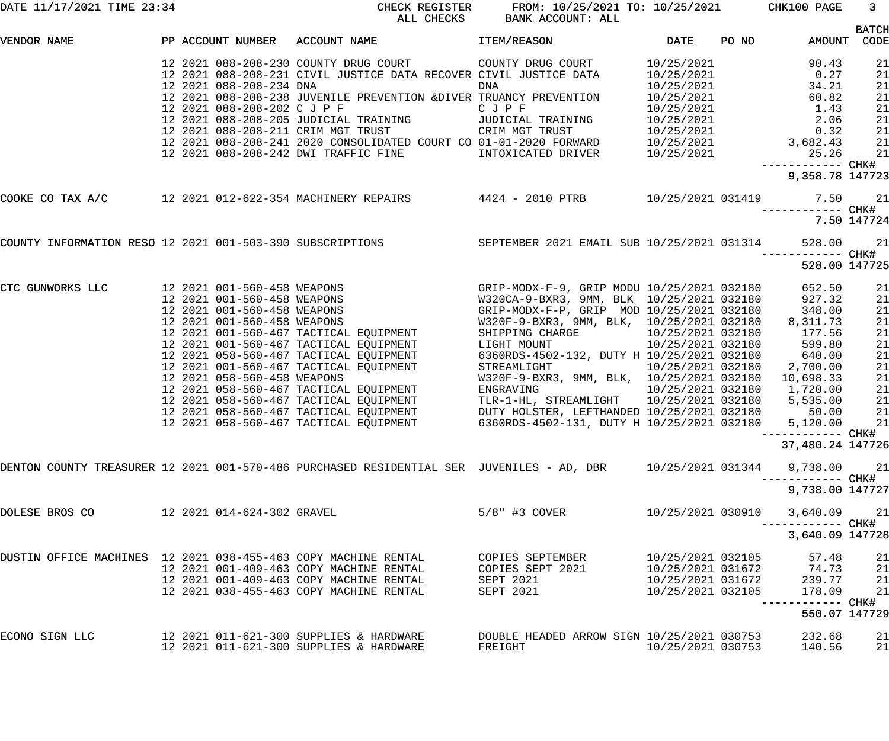|                                                                |                            | DATE 11/17/2021 TIME 23:34 CHECK REGISTER                                                                   | FROM: 10/25/2021 TO: 10/25/2021 CHK100 PAGE<br>ALL CHECKS BANK ACCOUNT: ALL |                                                                                  |                                 | $\overline{\phantom{a}}$ 3 |
|----------------------------------------------------------------|----------------------------|-------------------------------------------------------------------------------------------------------------|-----------------------------------------------------------------------------|----------------------------------------------------------------------------------|---------------------------------|----------------------------|
| VENDOR NAME                                                    |                            | PP ACCOUNT NUMBER ACCOUNT NAME TEM/REASON THEM/REASON                                                       |                                                                             |                                                                                  | AMOUNT CODE                     | <b>BATCH</b>               |
|                                                                |                            |                                                                                                             |                                                                             |                                                                                  |                                 | 21<br>21<br>21             |
|                                                                |                            |                                                                                                             |                                                                             |                                                                                  |                                 | 21<br>21<br>21             |
|                                                                |                            |                                                                                                             |                                                                             |                                                                                  |                                 | 21<br>21<br>21             |
|                                                                |                            |                                                                                                             |                                                                             |                                                                                  | 9,358.78 147723                 |                            |
|                                                                |                            |                                                                                                             |                                                                             |                                                                                  |                                 |                            |
|                                                                |                            | COUNTY INFORMATION RESO 12 2021 001-503-390 SUBSCRIPTIONS SEPTEMBER 2021 EMAIL SUB 10/25/2021 031314        |                                                                             |                                                                                  |                                 | 7.50 147724                |
|                                                                |                            |                                                                                                             |                                                                             |                                                                                  | 528.00                          | 21                         |
|                                                                |                            |                                                                                                             |                                                                             |                                                                                  | 528.00 147725                   |                            |
| CTC GUNWORKS LLC                                               |                            |                                                                                                             |                                                                             |                                                                                  | 652.50<br>927.32<br>348.00      | 21<br>21<br>21             |
|                                                                |                            |                                                                                                             |                                                                             |                                                                                  | 8,311.73<br>177.56<br>599.80    | 21<br>21<br>21             |
|                                                                |                            |                                                                                                             |                                                                             |                                                                                  | 640.00<br>2,700.00<br>10,698.33 | 21<br>21<br>21             |
|                                                                |                            |                                                                                                             |                                                                             |                                                                                  | 1,720.00<br>5,535.00<br>50.00   | 21<br>21<br>21             |
|                                                                |                            | 12 2021 058-560-467 TACTICAL EQUIPMENT 6360RDS-4502-131, DUTY H 10/25/2021 032180                           |                                                                             |                                                                                  | 5,120.00<br>--------- CHK#      | 21                         |
|                                                                |                            |                                                                                                             |                                                                             |                                                                                  | 37,480.24 147726                |                            |
|                                                                |                            | DENTON COUNTY TREASURER 12 2021 001-570-486 PURCHASED RESIDENTIAL SER JUVENILES - AD, DBR 10/25/2021 031344 |                                                                             |                                                                                  | 9,738.00                        | 21                         |
|                                                                |                            |                                                                                                             |                                                                             |                                                                                  | 9,738.00 147727                 |                            |
| DOLESE BROS CO                                                 | 12 2021 014-624-302 GRAVEL |                                                                                                             | $5/8"$ #3 COVER                                                             | 10/25/2021 030910                                                                | 3,640.09<br>------------ CHK#   | 21                         |
|                                                                |                            |                                                                                                             |                                                                             |                                                                                  | 3,640.09 147728                 |                            |
| DUSTIN OFFICE MACHINES 12 2021 038-455-463 COPY MACHINE RENTAL |                            | 12 2021 001-409-463 COPY MACHINE RENTAL                                                                     | COPIES SEPTEMBER<br>COPIES SEPT 2021                                        | 10/25/2021 032105                                                                | 57.48<br>74.73                  | 21<br>21                   |
|                                                                |                            | 12 2021 001-409-463 COPY MACHINE RENTAL<br>12 2021 038-455-463 COPY MACHINE RENTAL                          | SEPT 2021<br>SEPT 2021                                                      | 10/25/2021 031672<br>10/25/2021 031672<br>10/25/2021 032105<br>10/25/2021 032105 | 239.77<br>178.09                | 21<br>21                   |
|                                                                |                            |                                                                                                             |                                                                             |                                                                                  | ------- CHK#<br>550.07 147729   |                            |
| ECONO SIGN LLC                                                 |                            | 12 2021 011-621-300 SUPPLIES & HARDWARE<br>12 2021 011-621-300 SUPPLIES & HARDWARE                          | DOUBLE HEADED ARROW SIGN 10/25/2021 030753<br>FREIGHT                       | 10/25/2021 030753                                                                | 232.68<br>140.56                | 21<br>21                   |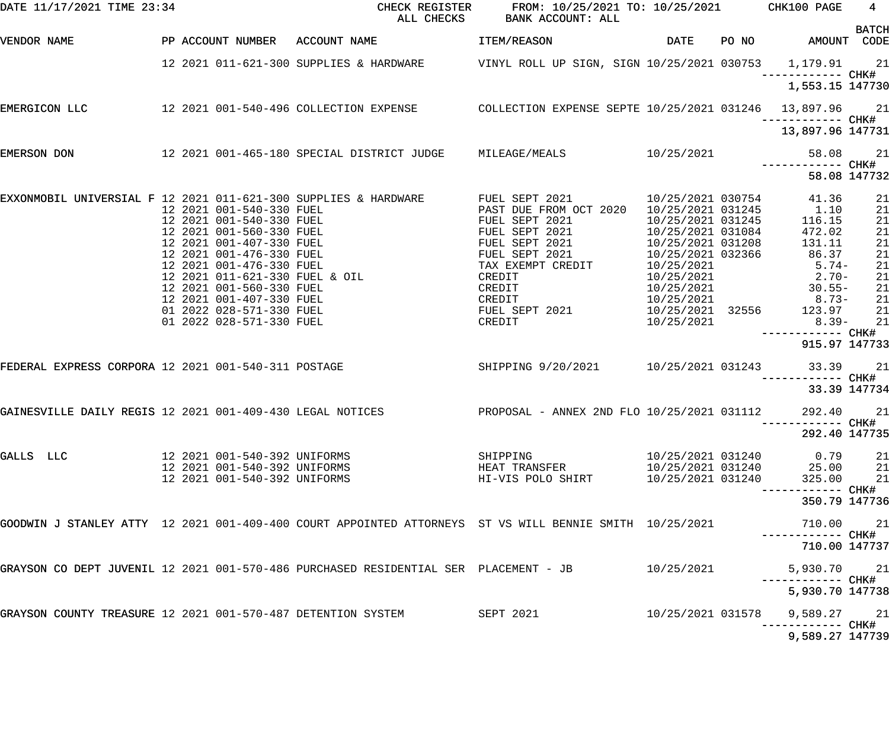| DATE 11/17/2021 TIME 23:34                                |  |                              | CHECK REGISTER<br>ALL CHECKS                                                                                                                                                                                                                        | FROM: 10/25/2021 TO: 10/25/2021 CHK100 PAGE<br>BANK ACCOUNT: ALL                                                                                                                                                                         |                                                      | $\overline{4}$<br><b>BATCH</b>                                                            |              |
|-----------------------------------------------------------|--|------------------------------|-----------------------------------------------------------------------------------------------------------------------------------------------------------------------------------------------------------------------------------------------------|------------------------------------------------------------------------------------------------------------------------------------------------------------------------------------------------------------------------------------------|------------------------------------------------------|-------------------------------------------------------------------------------------------|--------------|
| VENDOR NAME                                               |  |                              | PP ACCOUNT NUMBER ACCOUNT NAME                                                                                                                                                                                                                      | <b>ITEM/REASON</b>                                                                                                                                                                                                                       |                                                      | DATE PO NO AMOUNT CODE                                                                    |              |
|                                                           |  |                              | 12 2021 011-621-300 SUPPLIES & HARDWARE VINYL ROLL UP SIGN, SIGN 10/25/2021 030753 1,179.91 21                                                                                                                                                      |                                                                                                                                                                                                                                          |                                                      |                                                                                           |              |
|                                                           |  |                              |                                                                                                                                                                                                                                                     |                                                                                                                                                                                                                                          |                                                      | 1,553.15 147730                                                                           |              |
| EMERGICON LLC                                             |  |                              | 12 2021 001-540-496 COLLECTION EXPENSE  COLLECTION EXPENSE SEPTE 10/25/2021 031246  13,897.96  21                                                                                                                                                   |                                                                                                                                                                                                                                          |                                                      |                                                                                           |              |
|                                                           |  |                              |                                                                                                                                                                                                                                                     |                                                                                                                                                                                                                                          |                                                      | 13,897.96 147731                                                                          |              |
| EMERSON DON                                               |  |                              | 12 2021 001-465-180 SPECIAL DISTRICT JUDGE MILEAGE/MEALS 10/25/2021                                                                                                                                                                                 |                                                                                                                                                                                                                                          |                                                      |                                                                                           | 58.08 21     |
|                                                           |  |                              |                                                                                                                                                                                                                                                     |                                                                                                                                                                                                                                          |                                                      |                                                                                           | 58.08 147732 |
|                                                           |  |                              | EXXONMOBIL UNIVERSIAL F 12 2021 011-621-300 SUPPLIES & HARDWARE            FUEL SEPT 2021                                                                                                                                                           | FUEL SEPT 2021 10/25/2021 030754 41.36<br>PAST DUE FROM OCT 2020 10/25/2021 031245 1.10<br>FUEL SEPT 2021 10/25/2021 031245 116.15<br>FUEL SEPT 2021 10/25/2021 031084 472.02<br>FUEL SEPT 2021 10/25/2021 031208 131.11<br>FIFL SEPT 20 |                                                      |                                                                                           | 21           |
|                                                           |  |                              |                                                                                                                                                                                                                                                     |                                                                                                                                                                                                                                          |                                                      |                                                                                           | 21           |
|                                                           |  |                              |                                                                                                                                                                                                                                                     |                                                                                                                                                                                                                                          |                                                      |                                                                                           | 21           |
|                                                           |  |                              |                                                                                                                                                                                                                                                     |                                                                                                                                                                                                                                          |                                                      |                                                                                           | 21           |
|                                                           |  |                              |                                                                                                                                                                                                                                                     | FUEL SEPT 2021<br>FUEL SEPT 2021                                                                                                                                                                                                         | 10/25/2021 032366                                    | 86.37                                                                                     | 21<br>21     |
|                                                           |  |                              |                                                                                                                                                                                                                                                     | TAX EXEMPT CREDIT                                                                                                                                                                                                                        |                                                      | $5.74-$                                                                                   | 21           |
|                                                           |  |                              |                                                                                                                                                                                                                                                     | CREDIT                                                                                                                                                                                                                                   | 10/25/2021<br>10/25/2021<br>10/25/2021<br>10/25/2021 | $2.70-$                                                                                   | 21           |
|                                                           |  |                              |                                                                                                                                                                                                                                                     | CREDIT                                                                                                                                                                                                                                   |                                                      | $30.55 -$                                                                                 | 21           |
|                                                           |  |                              |                                                                                                                                                                                                                                                     |                                                                                                                                                                                                                                          | 10/25/2021                                           | $8.73-$                                                                                   | 21           |
|                                                           |  |                              |                                                                                                                                                                                                                                                     | CREDIT<br>CREDIT<br>FUEL SEPT 2021                                                                                                                                                                                                       | 10/25/2021<br>10/25/2021 32556                       | 123.97                                                                                    | 21           |
|                                                           |  |                              | 12 2021 011-621-300 SUPPLIES & HARDWARE<br>12 2021 001-540-330 FUEL<br>12 2021 001-540-330 FUEL<br>12 2021 001-560-330 FUEL<br>12 2021 001-476-330 FUEL<br>12 2021 001-476-330 FUEL<br>12 2021 001-476-330 FUEL & OIL<br>12 2021 011-621-330 FUEL & | CREDIT                                                                                                                                                                                                                                   | 10/25/2021                                           | $8.39-$<br>------------ CHK#                                                              | 21           |
|                                                           |  |                              |                                                                                                                                                                                                                                                     |                                                                                                                                                                                                                                          |                                                      | 915.97 147733                                                                             |              |
|                                                           |  |                              | FEDERAL EXPRESS CORPORA 12 2021 001-540-311 POSTAGE SALLER SHIPPING 9/20/2021 10/25/2021 031243                                                                                                                                                     |                                                                                                                                                                                                                                          |                                                      | 33.39 21                                                                                  |              |
|                                                           |  |                              |                                                                                                                                                                                                                                                     |                                                                                                                                                                                                                                          |                                                      |                                                                                           | 33.39 147734 |
| GAINESVILLE DAILY REGIS 12 2021 001-409-430 LEGAL NOTICES |  |                              |                                                                                                                                                                                                                                                     | PROPOSAL - ANNEX 2ND FLO 10/25/2021 031112                                                                                                                                                                                               |                                                      | 292.40                                                                                    | 21           |
|                                                           |  |                              |                                                                                                                                                                                                                                                     |                                                                                                                                                                                                                                          |                                                      | 292.40 147735                                                                             |              |
| GALLS LLC                                                 |  |                              |                                                                                                                                                                                                                                                     | SHIPPING                                                                                                                                                                                                                                 |                                                      | 10/25/2021 031240 0.79                                                                    | 21           |
|                                                           |  |                              | 12  2021  001-540-392  UNIFORMS<br>12  2021  001-540-392  UNIFORMS<br>12  2021  001-540-392  UNIFORMS                                                                                                                                               | HEAT TRANSFER                                                                                                                                                                                                                            |                                                      |                                                                                           |              |
|                                                           |  | 12 2021 001-540-392 UNIFORMS |                                                                                                                                                                                                                                                     | HI-VIS POLO SHIRT                                                                                                                                                                                                                        |                                                      | $10/25/2021$ $031240$<br>$10/25/2021$ $031240$<br>$10/25/2021$ $031240$<br>$325.00$<br>21 |              |
|                                                           |  |                              |                                                                                                                                                                                                                                                     |                                                                                                                                                                                                                                          |                                                      | -----------         CHK#                                                                  |              |
|                                                           |  |                              |                                                                                                                                                                                                                                                     |                                                                                                                                                                                                                                          |                                                      | 350.79 147736                                                                             |              |
|                                                           |  |                              | GOODWIN J STANLEY ATTY 12 2021 001-409-400 COURT APPOINTED ATTORNEYS ST VS WILL BENNIE SMITH 10/25/2021                                                                                                                                             |                                                                                                                                                                                                                                          |                                                      | 710.00 21                                                                                 |              |
|                                                           |  |                              |                                                                                                                                                                                                                                                     |                                                                                                                                                                                                                                          |                                                      | 710.00 147737                                                                             |              |
|                                                           |  |                              | GRAYSON CO DEPT JUVENIL 12 2021 001-570-486 PURCHASED RESIDENTIAL SER PLACEMENT - JB                                                                                                                                                                |                                                                                                                                                                                                                                          | 10/25/2021                                           | 5,930.70 21                                                                               |              |
|                                                           |  |                              |                                                                                                                                                                                                                                                     |                                                                                                                                                                                                                                          |                                                      | 5,930.70 147738                                                                           |              |
|                                                           |  |                              | GRAYSON COUNTY TREASURE 12 2021 001-570-487 DETENTION SYSTEM SEPT 2021                                                                                                                                                                              |                                                                                                                                                                                                                                          | 10/25/2021 031578                                    | 9,589.27 21                                                                               |              |
|                                                           |  |                              |                                                                                                                                                                                                                                                     |                                                                                                                                                                                                                                          |                                                      | 9,589.27 147739                                                                           |              |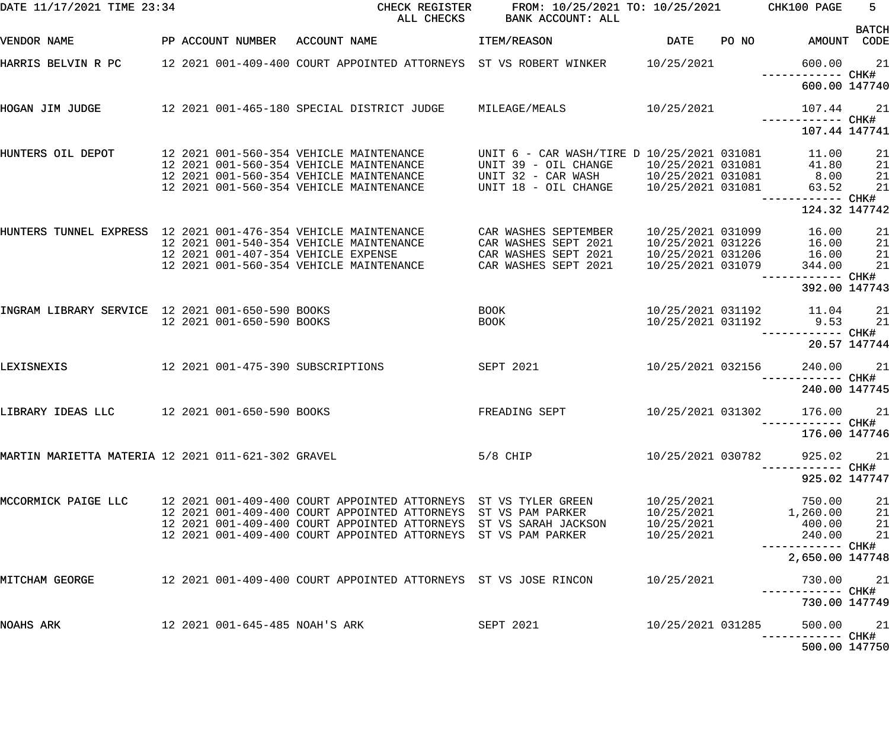| DATE 11/17/2021 TIME 23:34                                     |  |                                | CHECK REGISTER<br>ALL CHECKS                                                                                                        | FROM: 10/25/2021 TO: 10/25/2021                                    | CHK100 PAGE                            | $5 -$<br><b>BATCH</b>              |                  |
|----------------------------------------------------------------|--|--------------------------------|-------------------------------------------------------------------------------------------------------------------------------------|--------------------------------------------------------------------|----------------------------------------|------------------------------------|------------------|
| VENDOR NAME                                                    |  | PP ACCOUNT NUMBER              | ACCOUNT NAME                                                                                                                        | ITEM/REASON                                                        | DATE                                   | PO NO AMOUNT CODE                  |                  |
|                                                                |  |                                | HARRIS BELVIN R PC 12 2021 001-409-400 COURT APPOINTED ATTORNEYS ST VS ROBERT WINKER 10/25/2021                                     |                                                                    |                                        | 600.00<br>------------ CHK#        | 21               |
|                                                                |  |                                |                                                                                                                                     |                                                                    |                                        | 600.00 147740                      |                  |
| HOGAN JIM JUDGE                                                |  |                                | 12 2021 001-465-180 SPECIAL DISTRICT JUDGE MILEAGE/MEALS                                                                            |                                                                    | 10/25/2021                             | 107.44<br>------------ CHK#        | 21               |
|                                                                |  |                                |                                                                                                                                     |                                                                    |                                        | 107.44 147741                      |                  |
| HUNTERS OIL DEPOT                                              |  |                                | 12 2021 001-560-354 VEHICLE MAINTENANCE<br>12 2021 001-560-354 VEHICLE MAINTENANCE                                                  | UNIT 6 - CAR WASH/TIRE D 10/25/2021 031081<br>UNIT 39 - OIL CHANGE | 10/25/2021 031081                      | 11.00<br>41.80                     | 21<br>21         |
|                                                                |  |                                | 12 2021 001-560-354 VEHICLE MAINTENANCE<br>12 2021 001-560-354 VEHICLE MAINTENANCE                                                  | UNIT 32 - CAR WASH 10/25/2021 031081<br>UNIT 18 - OIL CHANGE       | 10/25/2021 031081                      | 8.00<br>63.52                      | 21<br>21         |
|                                                                |  |                                |                                                                                                                                     |                                                                    |                                        | ------------ CHK#<br>124.32 147742 |                  |
| HUNTERS TUNNEL EXPRESS 12 2021 001-476-354 VEHICLE MAINTENANCE |  |                                |                                                                                                                                     | CAR WASHES SEPTEMBER                                               | 10/25/2021 031099                      | 16.00                              | 21               |
|                                                                |  |                                | 12 2021 001-540-354 VEHICLE MAINTENANCE<br>12 2021 001-407-354 VEHICLE EXPENSE                                                      | CAR WASHES SEPT 2021<br>CAR WASHES SEPT 2021                       | 10/25/2021 031226<br>10/25/2021 031206 | 16.00<br>16.00                     | 21<br>21         |
|                                                                |  |                                | 12 2021 001-560-354 VEHICLE MAINTENANCE                                                                                             | CAR WASHES SEPT 2021                                               | 10/25/2021 031079                      | 344.00                             | 21<br>----- CHK# |
|                                                                |  |                                |                                                                                                                                     |                                                                    |                                        | 392.00 147743                      |                  |
| INGRAM LIBRARY SERVICE 12 2021 001-650-590 BOOKS               |  | 12 2021 001-650-590 BOOKS      |                                                                                                                                     | BOOK<br><b>BOOK</b>                                                | 10/25/2021 031192                      | 10/25/2021 031192 11.04<br>9.53    | 21<br>21         |
|                                                                |  |                                |                                                                                                                                     |                                                                    |                                        | ------ CHK#                        | 20.57 147744     |
| LEXISNEXIS                                                     |  |                                | 12 2021 001-475-390 SUBSCRIPTIONS                                                                                                   | SEPT 2021                                                          | 10/25/2021 032156                      | 240.00                             | 21               |
|                                                                |  |                                |                                                                                                                                     |                                                                    |                                        | 240.00 147745                      |                  |
| LIBRARY IDEAS LLC                                              |  | 12 2021 001-650-590 BOOKS      |                                                                                                                                     | FREADING SEPT                                                      | 10/25/2021 031302                      | 176.00                             | 21               |
|                                                                |  |                                |                                                                                                                                     |                                                                    |                                        |                                    |                  |
|                                                                |  |                                |                                                                                                                                     |                                                                    |                                        | 176.00 147746                      |                  |
| MARTIN MARIETTA MATERIA 12 2021 011-621-302 GRAVEL             |  |                                |                                                                                                                                     | $5/8$ CHIP                                                         | 10/25/2021 030782                      | 925.02                             | 21               |
|                                                                |  |                                |                                                                                                                                     |                                                                    |                                        | 925.02 147747                      |                  |
| MCCORMICK PAIGE LLC                                            |  |                                | 12 2021 001-409-400 COURT APPOINTED ATTORNEYS ST VS TYLER GREEN                                                                     |                                                                    | 10/25/2021                             | 750.00                             | 21               |
|                                                                |  |                                | 12 2021 001-409-400 COURT APPOINTED ATTORNEYS ST VS PAM PARKER<br>12 2021 001-409-400 COURT APPOINTED ATTORNEYS ST VS SARAH JACKSON |                                                                    | 10/25/2021<br>10/25/2021               | 1,260.00<br>400.00                 | 21<br>21         |
|                                                                |  |                                | 12 2021 001-409-400 COURT APPOINTED ATTORNEYS ST VS PAM PARKER                                                                      |                                                                    | 10/25/2021                             | 240.00                             | 21               |
|                                                                |  |                                |                                                                                                                                     |                                                                    |                                        | 2,650.00 147748                    |                  |
| MITCHAM GEORGE                                                 |  |                                | 12   2021  001-409-400  COURT APPOINTED ATTORNEYS                             ST VS JOSE RINCON                                     |                                                                    | 10/25/2021                             | 730.00 21                          |                  |
|                                                                |  |                                |                                                                                                                                     |                                                                    |                                        | 730.00 147749                      |                  |
| NOAHS ARK                                                      |  | 12 2021 001-645-485 NOAH'S ARK |                                                                                                                                     | <b>SEPT 2021</b>                                                   | 10/25/2021 031285                      | 500.00 21                          |                  |
|                                                                |  |                                |                                                                                                                                     |                                                                    |                                        | 500.00 147750                      |                  |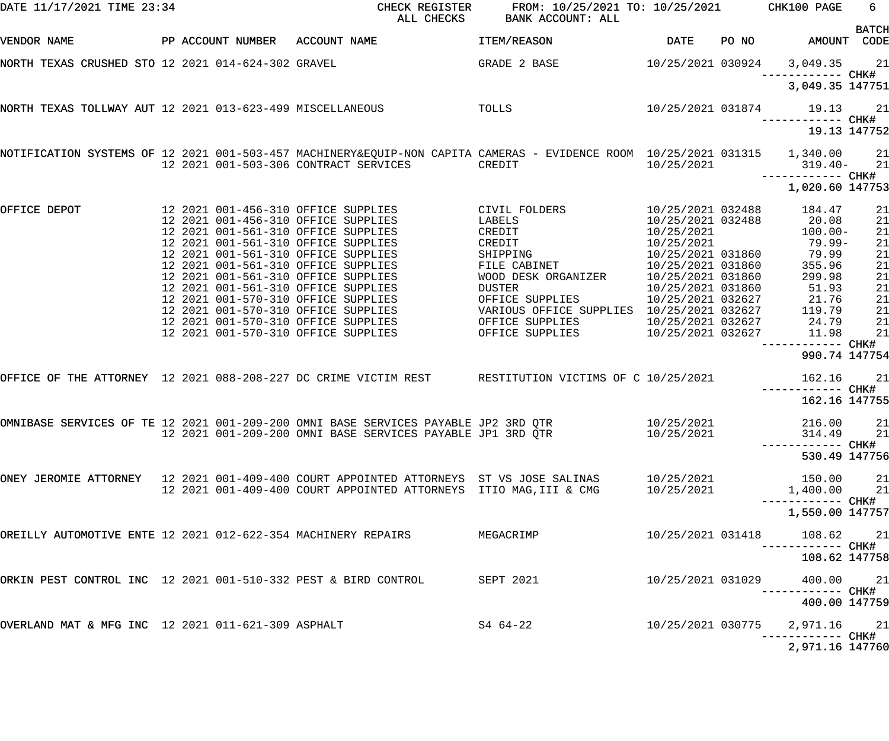| DATE 11/17/2021 TIME 23:34                                     |  |                   | CHECK REGISTER<br>ALL CHECKS                                                                                                                                       | <b>BANK ACCOUNT: ALL</b>                                               | FROM: 10/25/2021 TO: 10/25/2021 CHK100 PAGE                               |       |                                                     | 6                    |  |  |
|----------------------------------------------------------------|--|-------------------|--------------------------------------------------------------------------------------------------------------------------------------------------------------------|------------------------------------------------------------------------|---------------------------------------------------------------------------|-------|-----------------------------------------------------|----------------------|--|--|
| VENDOR NAME                                                    |  | PP ACCOUNT NUMBER | ACCOUNT NAME                                                                                                                                                       | ITEM/REASON                                                            | DATE                                                                      | PO NO | AMOUNT CODE                                         | <b>BATCH</b>         |  |  |
| NORTH TEXAS CRUSHED STO 12 2021 014-624-302 GRAVEL             |  |                   |                                                                                                                                                                    | GRADE 2 BASE                                                           | 10/25/2021 030924                                                         |       | 3,049.35<br>—————————— CHK#                         | 21                   |  |  |
|                                                                |  |                   |                                                                                                                                                                    |                                                                        |                                                                           |       | 3,049.35 147751                                     |                      |  |  |
| NORTH TEXAS TOLLWAY AUT 12 2021 013-623-499 MISCELLANEOUS      |  |                   | <b>Example 19 TOLLS</b>                                                                                                                                            |                                                                        | 10/25/2021 031874                                                         |       | 19.13                                               | 21                   |  |  |
|                                                                |  |                   |                                                                                                                                                                    |                                                                        |                                                                           |       | 19.13 147752                                        |                      |  |  |
|                                                                |  |                   | NOTIFICATION SYSTEMS OF 12 2021 001-503-457 MACHINERY&EQUIP-NON CAPITA CAMERAS - EVIDENCE ROOM 10/25/2021 031315 1,340.00<br>12 2021 001-503-306 CONTRACT SERVICES | CREDIT                                                                 | 10/25/2021                                                                |       | 319.40-                                             | 21<br>21             |  |  |
|                                                                |  |                   |                                                                                                                                                                    |                                                                        |                                                                           |       | ------------ CHK#<br>1,020.60 147753                |                      |  |  |
| OFFICE DEPOT                                                   |  |                   | 12 2021 001-456-310 OFFICE SUPPLIES<br>12 2021 001-456-310 OFFICE SUPPLIES<br>12 2021 001-561-310 OFFICE SUPPLIES                                                  | CIVIL FOLDERS<br>LABELS<br>CREDIT                                      | 10/25/2021 032488<br>10/25/2021 032488<br>10/25/2021                      |       | 184.47<br>20.08<br>$100.00 -$                       | 21<br>21<br>21       |  |  |
|                                                                |  |                   | 12 2021 001-561-310 OFFICE SUPPLIES<br>12 2021 001-561-310 OFFICE SUPPLIES<br>12 2021 001-561-310 OFFICE SUPPLIES<br>12 2021 001-561-310 OFFICE SUPPLIES           | CREDIT<br>SHIPPING<br>FILE CABINET<br>WOOD DESK ORGANIZER              | 10/25/2021<br>10/25/2021 031860<br>10/25/2021 031860<br>10/25/2021 031860 |       | 79.99-<br>79.99<br>355.96<br>299.98                 | 21<br>21<br>21<br>21 |  |  |
|                                                                |  |                   | 12 2021 001-561-310 OFFICE SUPPLIES<br>12 2021 001-570-310 OFFICE SUPPLIES<br>12 2021 001-570-310 OFFICE SUPPLIES                                                  | DUSTER<br>OFFICE SUPPLIES<br>VARIOUS OFFICE SUPPLIES 10/25/2021 032627 | 10/25/2021 031860<br>10/25/2021 032627                                    |       | 51.93<br>21.76<br>119.79                            | 21<br>21<br>21       |  |  |
|                                                                |  |                   | 12 2021 001-570-310 OFFICE SUPPLIES<br>12 2021 001-570-310 OFFICE SUPPLIES                                                                                         | OFFICE SUPPLIES<br>OFFICE SUPPLIES                                     | 10/25/2021 032627<br>10/25/2021 032627                                    |       | 24.79<br>11.98<br>------------ CHK#                 | 21<br>21             |  |  |
|                                                                |  |                   |                                                                                                                                                                    |                                                                        |                                                                           |       | 990.74 147754                                       |                      |  |  |
|                                                                |  |                   | OFFICE OF THE ATTORNEY 12 2021 088-208-227 DC CRIME VICTIM REST RESTITUTION VICTIMS OF C 10/25/2021                                                                |                                                                        |                                                                           |       | 162.16<br>------------ CHK#<br>162.16 147755        | 21                   |  |  |
|                                                                |  |                   | OMNIBASE SERVICES OF TE 12 2021 001-209-200 OMNI BASE SERVICES PAYABLE JP2 3RD QTR<br>12 2021 001-209-200 OMNI BASE SERVICES PAYABLE JP1 3RD QTR                   |                                                                        | 10/25/2021<br>10/25/2021                                                  |       | 216.00 21<br>314.49                                 | 21                   |  |  |
|                                                                |  |                   |                                                                                                                                                                    |                                                                        |                                                                           |       | 530.49 147756                                       |                      |  |  |
|                                                                |  |                   | ONEY JEROMIE ATTORNEY   12 2021 001-409-400 COURT APPOINTED ATTORNEYS  ST VS JOSE SALINAS<br>12 2021 001-409-400 COURT APPOINTED ATTORNEYS ITIO MAG, III & CMG     |                                                                        | 10/25/2021<br>10/25/2021                                                  |       | 150.00 21<br>1,400.00                               | 21                   |  |  |
|                                                                |  |                   |                                                                                                                                                                    |                                                                        |                                                                           |       | 1,550.00 147757                                     |                      |  |  |
| OREILLY AUTOMOTIVE ENTE 12 2021 012-622-354 MACHINERY REPAIRS  |  |                   |                                                                                                                                                                    | MEGACRIMP                                                              | 10/25/2021 031418                                                         |       | 108.62<br>-----------         CHK#                  | 21                   |  |  |
|                                                                |  |                   |                                                                                                                                                                    |                                                                        |                                                                           |       | 108.62 147758                                       |                      |  |  |
| ORKIN PEST CONTROL INC 12 2021 001-510-332 PEST & BIRD CONTROL |  |                   |                                                                                                                                                                    | SEPT 2021                                                              | 10/25/2021 031029                                                         |       | 400.00<br>-----------         CHK#<br>400.00 147759 | 21                   |  |  |
| OVERLAND MAT & MFG INC 12 2021 011-621-309 ASPHALT             |  |                   |                                                                                                                                                                    | S4 64-22                                                               | 10/25/2021 030775                                                         |       | 2,971.16 21                                         |                      |  |  |
|                                                                |  |                   |                                                                                                                                                                    |                                                                        |                                                                           |       | 2,971.16 147760                                     |                      |  |  |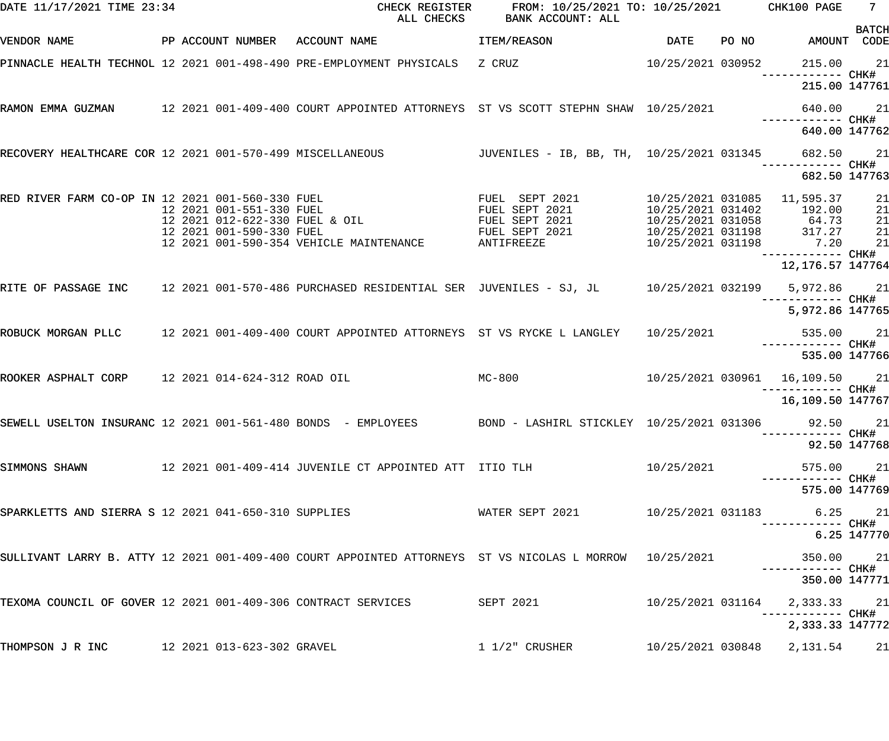| DATE 11/17/2021 TIME 23:34                                |  |  | CHECK REGISTER<br>ALL CHECKS<br>BANK ACCOUNT: ALL                                                                                                                                              |                                           |            | FROM: 10/25/2021 TO: 10/25/2021 CHK100 PAGE | $\overline{7}$                                                                                                 |              |
|-----------------------------------------------------------|--|--|------------------------------------------------------------------------------------------------------------------------------------------------------------------------------------------------|-------------------------------------------|------------|---------------------------------------------|----------------------------------------------------------------------------------------------------------------|--------------|
| VENDOR NAME                                               |  |  | PP ACCOUNT NUMBER ACCOUNT NAME                                                                                                                                                                 | ITEM/REASON                               | DATE       | PO NO                                       | AMOUNT CODE                                                                                                    | <b>BATCH</b> |
|                                                           |  |  | PINNACLE HEALTH TECHNOL 12 2021 001-498-490 PRE-EMPLOYMENT PHYSICALS  Z CRUZ                     10/25/2021 030952                                                                             |                                           |            |                                             | 215.00 21                                                                                                      |              |
|                                                           |  |  |                                                                                                                                                                                                |                                           |            |                                             | 215.00 147761                                                                                                  |              |
|                                                           |  |  | RAMON EMMA GUZMAN       12 2021 001-409-400 COURT APPOINTED ATTORNEYS ST VS SCOTT STEPHN SHAW 10/25/2021                                                                                       |                                           |            |                                             | 640.00 21                                                                                                      |              |
|                                                           |  |  |                                                                                                                                                                                                |                                           |            |                                             | 640.00 147762                                                                                                  |              |
| RECOVERY HEALTHCARE COR 12 2021 001-570-499 MISCELLANEOUS |  |  |                                                                                                                                                                                                | JUVENILES - IB, BB, TH, 10/25/2021 031345 |            |                                             | 682.50 21                                                                                                      |              |
|                                                           |  |  |                                                                                                                                                                                                |                                           |            |                                             | 682.50 147763                                                                                                  |              |
| RED RIVER FARM CO-OP IN 12 2021 001-560-330 FUEL          |  |  | 12 2021 001-560-330 FUEL<br>12 2021 001-551-330 FUEL<br>12 2021 012-622-330 FUEL & OIL<br>12 2021 012-622-330 FUEL & OIL<br>12 2021 012-590-330 FUEL & OIL<br>FUEL SEPT 2021<br>FUEL SEPT 2021 |                                           |            |                                             | 10/25/2021 031402 192.00                                                                                       | 21<br>21     |
|                                                           |  |  |                                                                                                                                                                                                |                                           |            |                                             |                                                                                                                | 21           |
|                                                           |  |  |                                                                                                                                                                                                |                                           |            |                                             | $10/25/2021$ 031402<br>$10/25/2021$ 031058<br>$10/25/2021$ 031198<br>$317.27$<br>$10/25/2021$ 031198<br>$7.20$ | 21           |
|                                                           |  |  | 12 2021 001-590-354 VEHICLE MAINTENANCE ANTIFREEZE                                                                                                                                             |                                           |            |                                             |                                                                                                                | 21           |
|                                                           |  |  |                                                                                                                                                                                                |                                           |            |                                             | 12,176.57 147764                                                                                               |              |
|                                                           |  |  | RITE OF PASSAGE INC 12 2021 001-570-486 PURCHASED RESIDENTIAL SER JUVENILES - SJ, JL 10/25/2021 032199 5,972.86 21                                                                             |                                           |            |                                             |                                                                                                                |              |
|                                                           |  |  |                                                                                                                                                                                                |                                           |            |                                             | 5,972.86 147765                                                                                                |              |
|                                                           |  |  | ROBUCK MORGAN PLLC    12 2021 001-409-400 COURT APPOINTED ATTORNEYS  ST VS RYCKE L LANGLEY                                                                                                     |                                           | 10/25/2021 |                                             | 535.00 21                                                                                                      |              |
|                                                           |  |  |                                                                                                                                                                                                |                                           |            |                                             | 535.00 147766                                                                                                  |              |
| ROOKER ASPHALT CORP 12 2021 014-624-312 ROAD OIL          |  |  |                                                                                                                                                                                                | $MC-800$                                  |            |                                             | 10/25/2021 030961  16,109.50  21                                                                               |              |
|                                                           |  |  |                                                                                                                                                                                                |                                           |            |                                             | 16,109.50 147767                                                                                               |              |
|                                                           |  |  | SEWELL USELTON INSURANC 12 2021 001-561-480 BONDS - EMPLOYEES BOND - LASHIRL STICKLEY 10/25/2021 031306 92.50 21                                                                               |                                           |            |                                             |                                                                                                                |              |
|                                                           |  |  |                                                                                                                                                                                                |                                           |            |                                             | 92.50 147768                                                                                                   |              |
|                                                           |  |  | SIMMONS SHAWN 6 12 2021 001-409-414 JUVENILE CT APPOINTED ATT ITIO TLH                                                                                                                         |                                           |            |                                             | 575.00 21                                                                                                      |              |
|                                                           |  |  |                                                                                                                                                                                                |                                           |            |                                             | 575.00 147769                                                                                                  |              |
|                                                           |  |  | SPARKLETTS AND SIERRA S 12 2021 041-650-310 SUPPLIES WATER SEPT 2021 10/25/2021 031183 6.25 21                                                                                                 |                                           |            |                                             |                                                                                                                |              |
|                                                           |  |  |                                                                                                                                                                                                |                                           |            |                                             |                                                                                                                | 6.25 147770  |
|                                                           |  |  | SULLIVANT LARRY B. ATTY 12 2021 001-409-400 COURT APPOINTED ATTORNEYS ST VS NICOLAS L MORROW 10/25/2021                                                                                        |                                           |            |                                             | 350.00 21                                                                                                      |              |
|                                                           |  |  |                                                                                                                                                                                                |                                           |            |                                             | 350.00 147771                                                                                                  |              |
|                                                           |  |  | TEXOMA COUNCIL OF GOVER 12 2021 001-409-306 CONTRACT SERVICES SEPT 2021                                                                                                                        |                                           |            |                                             | 10/25/2021 031164  2,333.33  21                                                                                |              |
|                                                           |  |  |                                                                                                                                                                                                |                                           |            |                                             | 2,333.33 147772                                                                                                |              |
| THOMPSON J R INC 12 2021 013-623-302 GRAVEL               |  |  |                                                                                                                                                                                                | $1\,1/2$ " CRUSHER                        |            |                                             | 10/25/2021 030848 2,131.54                                                                                     | 21           |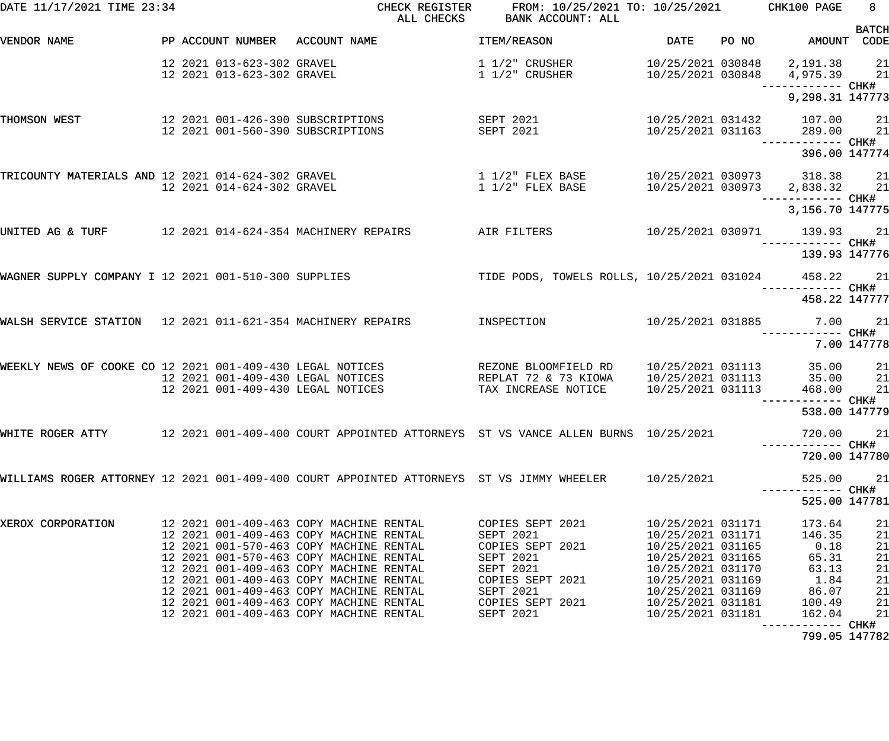| DATE 11/17/2021 TIME 23:34                                  |                                                          | CHECK REGISTER<br>ALL CHECKS                                                                                                                                                                                                                                                                                                                                                                    | FROM: 10/25/2021 TO: 10/25/2021 CHK100 PAGE<br>BANK ACCOUNT: ALL                                                                              |                                                                                                                                                                                           |       |                                                                                 | 8 <sup>1</sup>                                     |
|-------------------------------------------------------------|----------------------------------------------------------|-------------------------------------------------------------------------------------------------------------------------------------------------------------------------------------------------------------------------------------------------------------------------------------------------------------------------------------------------------------------------------------------------|-----------------------------------------------------------------------------------------------------------------------------------------------|-------------------------------------------------------------------------------------------------------------------------------------------------------------------------------------------|-------|---------------------------------------------------------------------------------|----------------------------------------------------|
| VENDOR NAME                                                 |                                                          | PP ACCOUNT NUMBER ACCOUNT NAME                                                                                                                                                                                                                                                                                                                                                                  | ITEM/REASON                                                                                                                                   | DATE                                                                                                                                                                                      | PO NO | AMOUNT CODE                                                                     | <b>BATCH</b>                                       |
|                                                             | 12 2021 013-623-302 GRAVEL<br>12 2021 013-623-302 GRAVEL |                                                                                                                                                                                                                                                                                                                                                                                                 | 1 1/2" CRUSHER<br>$1\;1/2$ " CRUSHER                                                                                                          | 10/25/2021 030848                                                                                                                                                                         |       | 10/25/2021 030848 2,191.38 21<br>4,975.39 21                                    |                                                    |
|                                                             |                                                          |                                                                                                                                                                                                                                                                                                                                                                                                 |                                                                                                                                               |                                                                                                                                                                                           |       | 9,298.31 147773                                                                 |                                                    |
| THOMSON WEST                                                |                                                          | 12  2021  001-426-390  SUBSCRIPTIONS<br>12 2021 001-560-390 SUBSCRIPTIONS                                                                                                                                                                                                                                                                                                                       | SEPT 2021<br>SEPT 2021                                                                                                                        | 10/25/2021 031163                                                                                                                                                                         |       | 10/25/2021 031432 107.00 21<br>289.00<br>------------ CHK#                      | 21                                                 |
|                                                             |                                                          |                                                                                                                                                                                                                                                                                                                                                                                                 |                                                                                                                                               |                                                                                                                                                                                           |       | 396.00 147774                                                                   |                                                    |
| TRICOUNTY MATERIALS AND 12 2021 014-624-302 GRAVEL          | 12 2021 014-624-302 GRAVEL                               |                                                                                                                                                                                                                                                                                                                                                                                                 | $1\,$ $1/2$ " FLEX BASE<br>$1\ 1/2$ " FLEX BASE                                                                                               |                                                                                                                                                                                           |       | 10/25/2021 030973 318.38 21<br>10/25/2021 030973 2,838.32 21                    |                                                    |
|                                                             |                                                          |                                                                                                                                                                                                                                                                                                                                                                                                 |                                                                                                                                               |                                                                                                                                                                                           |       | 3,156.70 147775                                                                 |                                                    |
| UNITED AG & TURF 12 2021 014-624-354 MACHINERY REPAIRS      |                                                          |                                                                                                                                                                                                                                                                                                                                                                                                 | AIR FILTERS                                                                                                                                   |                                                                                                                                                                                           |       | 10/25/2021 030971 139.93 21                                                     |                                                    |
|                                                             |                                                          |                                                                                                                                                                                                                                                                                                                                                                                                 |                                                                                                                                               |                                                                                                                                                                                           |       | 139.93 147776                                                                   |                                                    |
|                                                             |                                                          | WAGNER SUPPLY COMPANY I 12 2021 001-510-300 SUPPLIES TIDE PODS, TOWELS ROLLS, 10/25/2021 031024                                                                                                                                                                                                                                                                                                 |                                                                                                                                               |                                                                                                                                                                                           |       | 458.22 21                                                                       |                                                    |
|                                                             |                                                          |                                                                                                                                                                                                                                                                                                                                                                                                 |                                                                                                                                               |                                                                                                                                                                                           |       | 458.22 147777                                                                   |                                                    |
| WALSH SERVICE STATION 12 2021 011-621-354 MACHINERY REPAIRS |                                                          |                                                                                                                                                                                                                                                                                                                                                                                                 | INSPECTION                                                                                                                                    |                                                                                                                                                                                           |       | 10/25/2021 031885 7.00 21                                                       |                                                    |
|                                                             |                                                          |                                                                                                                                                                                                                                                                                                                                                                                                 |                                                                                                                                               |                                                                                                                                                                                           |       |                                                                                 | 7.00 147778                                        |
| WEEKLY NEWS OF COOKE CO 12 2021 001-409-430 LEGAL NOTICES   |                                                          | 12 2021 001-409-430 LEGAL NOTICES<br>12 2021 001-409-430 LEGAL NOTICES                                                                                                                                                                                                                                                                                                                          | REZONE BLOOMFIELD RD<br>REPLAT 72 & 73 KIOWA<br>TAX INCREASE NOTICE                                                                           | 10/25/2021 031113<br>10/25/2021 031113<br>10/25/2021 031113                                                                                                                               |       | 35.00<br>35.00<br>468.00                                                        | 21<br>21<br>21                                     |
|                                                             |                                                          |                                                                                                                                                                                                                                                                                                                                                                                                 |                                                                                                                                               |                                                                                                                                                                                           |       | ------------ CHK#<br>538.00 147779                                              |                                                    |
|                                                             |                                                          | WHITE ROGER ATTY          12 2021 001-409-400 COURT APPOINTED ATTORNEYS  ST VS VANCE ALLEN BURNS  10/25/2021                                                                                                                                                                                                                                                                                    |                                                                                                                                               |                                                                                                                                                                                           |       | 720.00                                                                          | 21                                                 |
|                                                             |                                                          |                                                                                                                                                                                                                                                                                                                                                                                                 |                                                                                                                                               |                                                                                                                                                                                           |       | 720.00 147780                                                                   |                                                    |
|                                                             |                                                          | WILLIAMS ROGER ATTORNEY 12 2021 001-409-400 COURT APPOINTED ATTORNEYS ST VS JIMMY WHEELER $10/25/2021$                                                                                                                                                                                                                                                                                          |                                                                                                                                               |                                                                                                                                                                                           |       | 525.00                                                                          | 21                                                 |
|                                                             |                                                          |                                                                                                                                                                                                                                                                                                                                                                                                 |                                                                                                                                               |                                                                                                                                                                                           |       | 525.00 147781                                                                   |                                                    |
| XEROX CORPORATION                                           |                                                          | 12 2021 001-409-463 COPY MACHINE RENTAL<br>12 2021 001-409-463 COPY MACHINE RENTAL<br>12 2021 001-570-463 COPY MACHINE RENTAL<br>12 2021 001-570-463 COPY MACHINE RENTAL<br>12 2021 001-409-463 COPY MACHINE RENTAL<br>12 2021 001-409-463 COPY MACHINE RENTAL<br>12 2021 001-409-463 COPY MACHINE RENTAL<br>12 2021 001-409-463 COPY MACHINE RENTAL<br>12 2021 001-409-463 COPY MACHINE RENTAL | COPIES SEPT 2021<br>SEPT 2021<br>COPIES SEPT 2021<br>SEPT 2021<br>SEPT 2021<br>COPIES SEPT 2021<br>SEPT 2021<br>COPIES SEPT 2021<br>SEPT 2021 | 10/25/2021 031171<br>10/25/2021 031171<br>10/25/2021 031165<br>10/25/2021 031165<br>10/25/2021 031170<br>10/25/2021 031169<br>10/25/2021 031169<br>10/25/2021 031181<br>10/25/2021 031181 |       | 173.64<br>146.35<br>0.18<br>65.31<br>63.13<br>1.84<br>86.07<br>100.49<br>162.04 | 21<br>21<br>21<br>21<br>21<br>21<br>21<br>21<br>21 |
|                                                             |                                                          |                                                                                                                                                                                                                                                                                                                                                                                                 |                                                                                                                                               |                                                                                                                                                                                           |       |                                                                                 |                                                    |

799.05 147782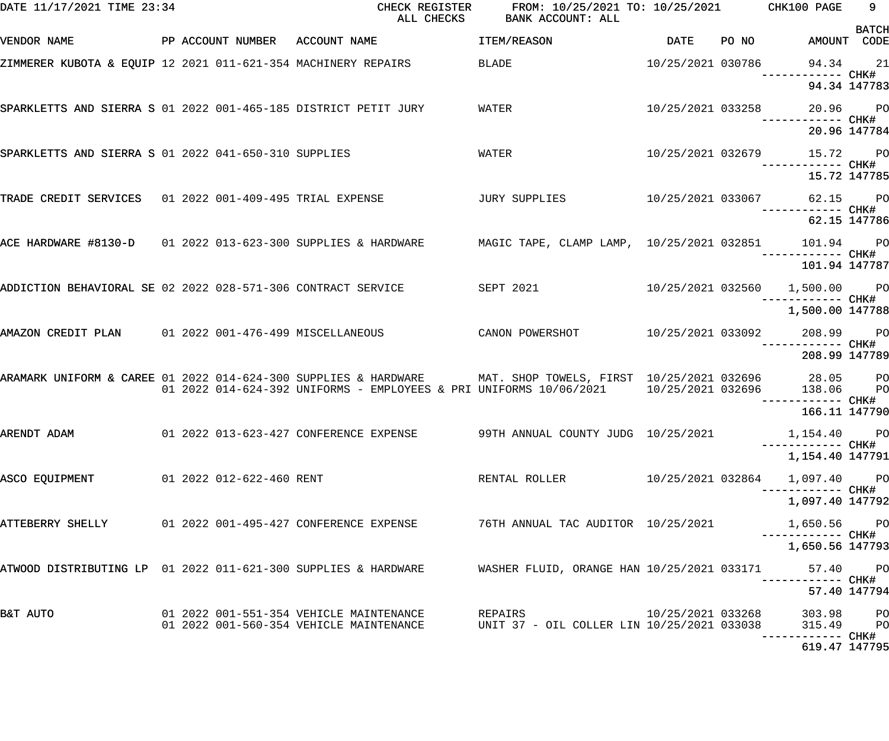| DATE 11/17/2021 TIME 23:34                                      |  |  |                          | CHECK REGISTER<br>ALL CHECKS                                                                                                                                                                                         | FROM: 10/25/2021 TO: 10/25/2021 CHK100 PAGE<br>BANK ACCOUNT: ALL        |                   |       |                                                  | 9            |
|-----------------------------------------------------------------|--|--|--------------------------|----------------------------------------------------------------------------------------------------------------------------------------------------------------------------------------------------------------------|-------------------------------------------------------------------------|-------------------|-------|--------------------------------------------------|--------------|
| VENDOR NAME                                                     |  |  |                          | PP ACCOUNT NUMBER ACCOUNT NAME                                                                                                                                                                                       | ITEM/REASON                                                             | <b>DATE</b>       | PO NO | AMOUNT CODE                                      | <b>BATCH</b> |
|                                                                 |  |  |                          | ZIMMERER KUBOTA & EQUIP 12 2021 011-621-354 MACHINERY REPAIRS                                                                                                                                                        | BLADE                                                                   | 10/25/2021 030786 |       | 94.34 21                                         |              |
|                                                                 |  |  |                          |                                                                                                                                                                                                                      |                                                                         |                   |       | 94.34 147783                                     |              |
| SPARKLETTS AND SIERRA S 01 2022 001-465-185 DISTRICT PETIT JURY |  |  |                          |                                                                                                                                                                                                                      | WATER                                                                   |                   |       | 10/25/2021 033258 20.96 PO<br>------------ CHK#  |              |
|                                                                 |  |  |                          |                                                                                                                                                                                                                      |                                                                         |                   |       | 20.96 147784                                     |              |
| SPARKLETTS AND SIERRA S 01 2022 041-650-310 SUPPLIES            |  |  |                          |                                                                                                                                                                                                                      | WATER                                                                   |                   |       | 10/25/2021 032679 15.72 PO<br>------------ CHK#  |              |
|                                                                 |  |  |                          |                                                                                                                                                                                                                      |                                                                         |                   |       | 15.72 147785                                     |              |
|                                                                 |  |  |                          | TRADE CREDIT SERVICES 01 2022 001-409-495 TRIAL EXPENSE TROUM JURY SUPPLIES                                                                                                                                          |                                                                         |                   |       | 10/25/2021 033067 62.15 PO<br>------------ CHK#  |              |
|                                                                 |  |  |                          |                                                                                                                                                                                                                      |                                                                         |                   |       | 62.15 147786                                     |              |
|                                                                 |  |  |                          | ACE HARDWARE #8130-D 01 2022 013-623-300 SUPPLIES & HARDWARE MAGIC TAPE, CLAMP LAMP, 10/25/2021 032851 101.94 PO                                                                                                     |                                                                         |                   |       |                                                  |              |
|                                                                 |  |  |                          |                                                                                                                                                                                                                      |                                                                         |                   |       | 101.94 147787                                    |              |
|                                                                 |  |  |                          | ADDICTION BEHAVIORAL SE 02 2022 028-571-306 CONTRACT SERVICE SEPT 2021                                                                                                                                               |                                                                         |                   |       | 10/25/2021 032560  1,500.00  PO<br>------ CHK#   |              |
|                                                                 |  |  |                          |                                                                                                                                                                                                                      |                                                                         |                   |       | 1,500.00 147788                                  |              |
|                                                                 |  |  |                          | AMAZON CREDIT PLAN 01 2022 001-476-499 MISCELLANEOUS CANON POWERSHOT                                                                                                                                                 |                                                                         |                   |       | 10/25/2021 033092 208.99 PO<br>------------ CHK# |              |
|                                                                 |  |  |                          |                                                                                                                                                                                                                      |                                                                         |                   |       | 208.99 147789                                    |              |
|                                                                 |  |  |                          | ARAMARK UNIFORM & CAREE 01 2022 014-624-300 SUPPLIES & HARDWARE MAT. SHOP TOWELS, FIRST 10/25/2021 032696 28.05 PO<br>01 2022 014-624-392 UNIFORMS - EMPLOYEES & PRI UNIFORMS 10/06/2021 10/25/2021 032696 138.06 PO |                                                                         |                   |       |                                                  |              |
|                                                                 |  |  |                          |                                                                                                                                                                                                                      |                                                                         |                   |       | ------------ CHK#<br>166.11 147790               |              |
| ARENDT ADAM                                                     |  |  |                          | 01  2022  013-623-427  CONFERENCE EXPENSE                                                                                                                                                                            | 99TH ANNUAL COUNTY JUDG 10/25/2021                                      |                   |       | 1,154.40 PO                                      |              |
|                                                                 |  |  |                          |                                                                                                                                                                                                                      |                                                                         |                   |       | 1,154.40 147791                                  |              |
| ASCO EQUIPMENT                                                  |  |  | 01 2022 012-622-460 RENT |                                                                                                                                                                                                                      | RENTAL ROLLER                                                           | 10/25/2021 032864 |       | 1,097.40 PO                                      |              |
|                                                                 |  |  |                          |                                                                                                                                                                                                                      |                                                                         |                   |       | 1,097.40 147792                                  |              |
| ATTEBERRY SHELLY                                                |  |  |                          | 01  2022  001-495-427  CONFERENCE EXPENSE                                                                                                                                                                            | 76TH ANNUAL TAC AUDITOR 10/25/2021                                      |                   |       | 1,650.56 PO                                      |              |
|                                                                 |  |  |                          |                                                                                                                                                                                                                      |                                                                         |                   |       | 1,650.56 147793                                  |              |
| ATWOOD DISTRIBUTING LP 01 2022 011-621-300 SUPPLIES & HARDWARE  |  |  |                          |                                                                                                                                                                                                                      | WASHER FLUID, ORANGE HAN 10/25/2021 033171                              |                   |       | 57.40 PO                                         |              |
|                                                                 |  |  |                          |                                                                                                                                                                                                                      |                                                                         |                   |       | 57.40 147794                                     |              |
| B&T AUTO                                                        |  |  |                          | 01  2022  001-551-354  VEHICLE MAINTENANCE<br>01 2022 001-560-354 VEHICLE MAINTENANCE                                                                                                                                | REPAIRS <b>Example 20</b><br>UNIT 37 - OIL COLLER LIN 10/25/2021 033038 | 10/25/2021 033268 |       | 303.98 PO<br>315.49 PO                           |              |
|                                                                 |  |  |                          |                                                                                                                                                                                                                      |                                                                         |                   |       | 619.47 147795                                    |              |
|                                                                 |  |  |                          |                                                                                                                                                                                                                      |                                                                         |                   |       |                                                  |              |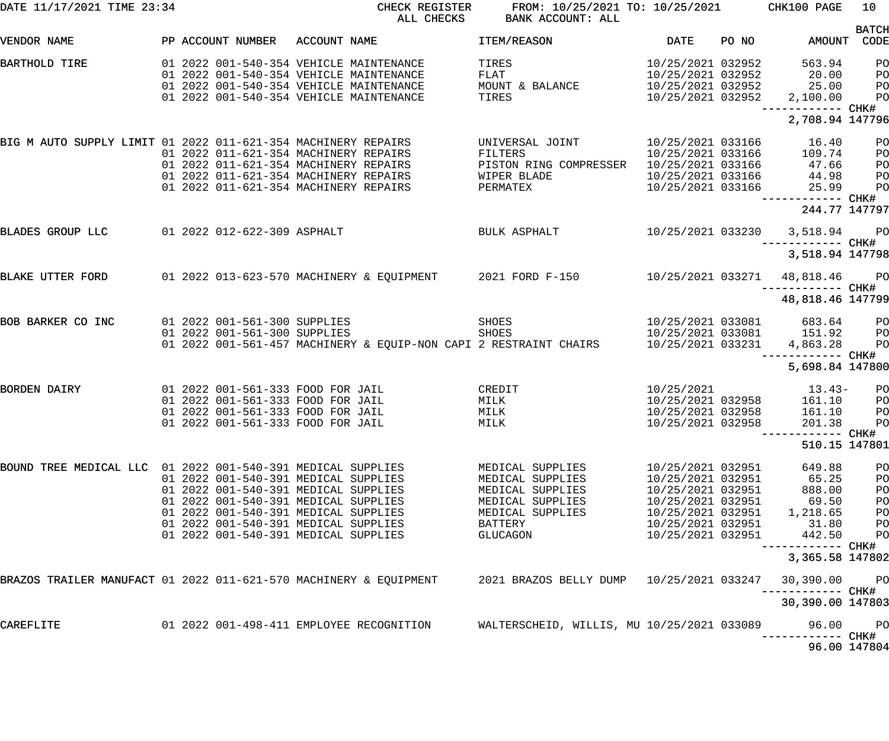| DATE 11/17/2021 TIME 23:34                                        |  |                                                              | CHECK REGISTER<br>ALL CHECKS                                                                                                                                                                                                                 | FROM: 10/25/2021 TO: 10/25/2021<br>BANK ACCOUNT: ALL                                                                    |                                                                                                                                                 |       | CHK100 PAGE                                                                            | 10                                     |
|-------------------------------------------------------------------|--|--------------------------------------------------------------|----------------------------------------------------------------------------------------------------------------------------------------------------------------------------------------------------------------------------------------------|-------------------------------------------------------------------------------------------------------------------------|-------------------------------------------------------------------------------------------------------------------------------------------------|-------|----------------------------------------------------------------------------------------|----------------------------------------|
| VENDOR NAME                                                       |  | PP ACCOUNT NUMBER                                            | ACCOUNT NAME                                                                                                                                                                                                                                 | ITEM/REASON                                                                                                             | <b>DATE</b>                                                                                                                                     | PO NO |                                                                                        | <b>BATCH</b><br>AMOUNT CODE            |
| BARTHOLD TIRE                                                     |  |                                                              | 01 2022 001-540-354 VEHICLE MAINTENANCE<br>01 2022 001-540-354 VEHICLE MAINTENANCE<br>01 2022 001-540-354 VEHICLE MAINTENANCE<br>01 2022 001-540-354 VEHICLE MAINTENANCE                                                                     | TIRES<br>FLAT<br>MOUNT & BALANCE<br>TIRES                                                                               | 10/25/2021 032952<br>10/25/2021 032952<br>10/25/2021 032952<br>10/25/2021 032952                                                                |       | 563.94<br>20.00<br>25.00<br>2,100.00<br>------------ CHK#<br>2,708.94 147796           | PO<br>PO<br>PO<br>PO                   |
| BIG M AUTO SUPPLY LIMIT 01 2022 011-621-354 MACHINERY REPAIRS     |  |                                                              | 01 2022 011-621-354 MACHINERY REPAIRS<br>01 2022 011-621-354 MACHINERY REPAIRS<br>01 2022 011-621-354 MACHINERY REPAIRS<br>01 2022 011-621-354 MACHINERY REPAIRS                                                                             | UNIVERSAL JOINT<br>FILTERS<br>PISTON RING COMPRESSER<br>WIPER BLADE<br>PERMATEX                                         | 10/25/2021 033166<br>10/25/2021 033166<br>10/25/2021 033166<br>10/25/2021 033166<br>10/25/2021 033166                                           |       | 16.40<br>109.74<br>47.66<br>44.98<br>25.99<br>------------ CHK#                        | PO<br>PO<br>PO<br>PO<br>PO             |
|                                                                   |  |                                                              |                                                                                                                                                                                                                                              |                                                                                                                         |                                                                                                                                                 |       | 244.77 147797                                                                          |                                        |
| BLADES GROUP LLC                                                  |  | 01 2022 012-622-309 ASPHALT                                  |                                                                                                                                                                                                                                              | BULK ASPHALT                                                                                                            |                                                                                                                                                 |       | 10/25/2021 033230 3,518.94 PO<br>------------ CHK#<br>3,518.94 147798                  |                                        |
| BLAKE UTTER FORD                                                  |  |                                                              | 01 2022 013-623-570 MACHINERY & EQUIPMENT 2021 FORD F-150 10/25/2021 033271                                                                                                                                                                  |                                                                                                                         |                                                                                                                                                 |       | 48,818.46 PO                                                                           |                                        |
|                                                                   |  |                                                              |                                                                                                                                                                                                                                              |                                                                                                                         |                                                                                                                                                 |       | ------------ CHK#<br>48,818.46 147799                                                  |                                        |
| BOB BARKER CO INC                                                 |  | 01 2022 001-561-300 SUPPLIES<br>01 2022 001-561-300 SUPPLIES | 01 2022 001-561-457 MACHINERY & EQUIP-NON CAPI 2 RESTRAINT CHAIRS                                                                                                                                                                            | SHOES<br>SHOES                                                                                                          | 10/25/2021 033231                                                                                                                               |       | 10/25/2021 033081 683.64<br>10/25/2021 033081 151.92<br>4,863.28<br>------------ CHK#  | <b>PO</b><br>PO<br>PO                  |
|                                                                   |  |                                                              |                                                                                                                                                                                                                                              |                                                                                                                         |                                                                                                                                                 |       | 5,698.84 147800                                                                        |                                        |
| <b>BORDEN DAIRY</b>                                               |  |                                                              | 01 2022 001-561-333 FOOD FOR JAIL<br>01 2022 001-561-333 FOOD FOR JAIL<br>01 2022 001-561-333 FOOD FOR JAIL<br>01 2022 001-561-333 FOOD FOR JAIL                                                                                             | CREDIT<br>MILK<br>MILK<br>MILK                                                                                          | 10/25/2021<br>10/25/2021 032958<br>10/25/2021 032958<br>10/25/2021 032958                                                                       |       | $13.43-$<br>161.10<br>161.10<br>201.38<br>-------- CHK#                                | PO<br>PO<br>PO<br>PO                   |
|                                                                   |  |                                                              |                                                                                                                                                                                                                                              |                                                                                                                         |                                                                                                                                                 |       | 510.15 147801                                                                          |                                        |
| BOUND TREE MEDICAL LLC 01 2022 001-540-391 MEDICAL SUPPLIES       |  |                                                              | 01 2022 001-540-391 MEDICAL SUPPLIES<br>01 2022 001-540-391 MEDICAL SUPPLIES<br>01 2022 001-540-391 MEDICAL SUPPLIES<br>01 2022 001-540-391 MEDICAL SUPPLIES<br>01 2022 001-540-391 MEDICAL SUPPLIES<br>01 2022 001-540-391 MEDICAL SUPPLIES | MEDICAL SUPPLIES<br>MEDICAL SUPPLIES<br>MEDICAL SUPPLIES<br>MEDICAL SUPPLIES<br>MEDICAL SUPPLIES<br>BATTERY<br>GLUCAGON | 10/25/2021 032951<br>10/25/2021 032951<br>10/25/2021 032951<br>10/25/2021 032951<br>10/25/2021 032951<br>10/25/2021 032951<br>10/25/2021 032951 |       | 649.88<br>65.25<br>888.00<br>69.50<br>1,218.65<br>31.80<br>442.50<br>------------ CHK# | PO<br>PO<br>PO<br>PO<br>PO<br>PO<br>PO |
| BRAZOS TRAILER MANUFACT 01 2022 011-621-570 MACHINERY & EQUIPMENT |  |                                                              |                                                                                                                                                                                                                                              | 2021 BRAZOS BELLY DUMP                                                                                                  | 10/25/2021 033247                                                                                                                               |       | 3,365.58 147802<br>30,390.00                                                           | PO                                     |
|                                                                   |  |                                                              |                                                                                                                                                                                                                                              |                                                                                                                         |                                                                                                                                                 |       | ------------ CHK#<br>30,390.00 147803                                                  |                                        |
| CAREFLITE                                                         |  |                                                              | 01 2022 001-498-411 EMPLOYEE RECOGNITION                                                                                                                                                                                                     | WALTERSCHEID, WILLIS, MU 10/25/2021 033089                                                                              |                                                                                                                                                 |       | 96.00<br>------------ CHK#                                                             | PO                                     |
|                                                                   |  |                                                              |                                                                                                                                                                                                                                              |                                                                                                                         |                                                                                                                                                 |       |                                                                                        | 96.00 147804                           |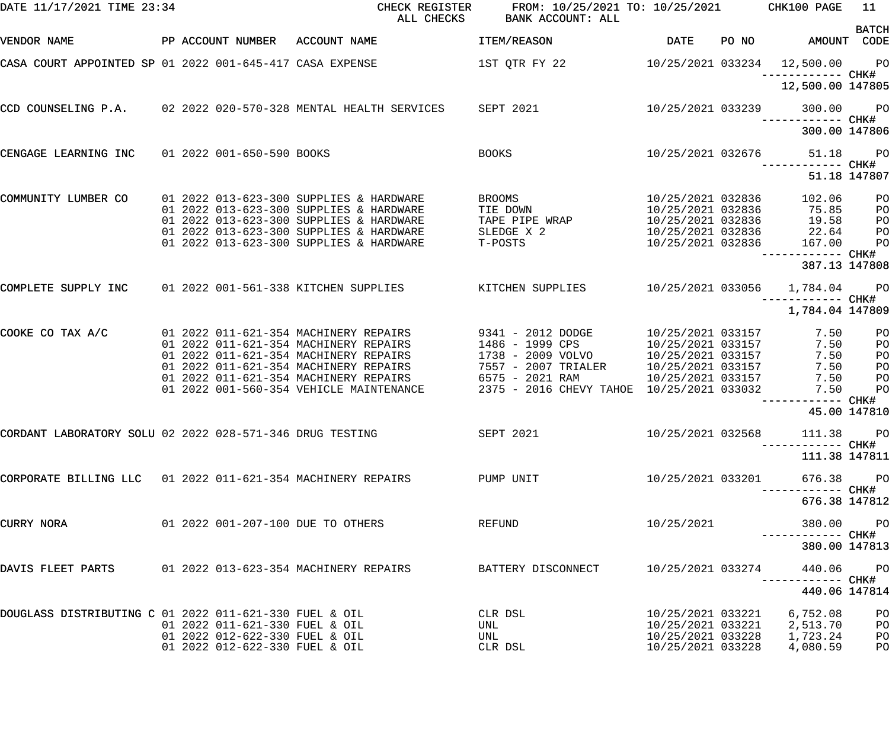| DATE 11/17/2021 TIME 23:34                                  |  |                                                                                  | CHECK REGISTER FROM: 10/25/2021 TO: 10/25/2021 CHK100 PAGE<br>ALL CHECKS BANK ACCOUNT: ALL |                        |                                              | 11              |
|-------------------------------------------------------------|--|----------------------------------------------------------------------------------|--------------------------------------------------------------------------------------------|------------------------|----------------------------------------------|-----------------|
| VENDOR NAME                                                 |  | PP ACCOUNT NUMBER ACCOUNT NAME                                                   | <b>ITEM/REASON</b>                                                                         | <b>Example 12 DATE</b> | PO NO AMOUNT CODE                            | <b>BATCH</b>    |
| CASA COURT APPOINTED SP 01 2022 001-645-417 CASA EXPENSE    |  |                                                                                  |                                                                                            |                        |                                              |                 |
|                                                             |  |                                                                                  |                                                                                            |                        | 12,500.00 147805                             |                 |
|                                                             |  | CCD COUNSELING P.A. 02 2022 020-570-328 MENTAL HEALTH SERVICES SEPT 2021         |                                                                                            | 10/25/2021 033239      | 300.00                                       | <b>PO</b>       |
|                                                             |  |                                                                                  |                                                                                            |                        | 300.00 147806                                |                 |
|                                                             |  | CENGAGE LEARNING INC 01 2022 001-650-590 BOOKS                                   | <b>BOOKS</b>                                                                               |                        | 10/25/2021 032676 51.18<br>------------ CHK# | PO <sub>1</sub> |
|                                                             |  |                                                                                  |                                                                                            |                        | 51.18 147807                                 |                 |
| COMMUNITY LUMBER CO                                         |  | 01 2022 013-623-300 SUPPLIES & HARDWARE                                          | <b>BROOMS</b>                                                                              | 10/25/2021 032836      | 102.06                                       | P <sub>O</sub>  |
|                                                             |  | 01 2022 013-623-300 SUPPLIES & HARDWARE                                          | TIE DOWN                                                                                   |                        | 10/25/2021 032836 75.85                      | P <sub>O</sub>  |
|                                                             |  | 01 2022 013-623-300 SUPPLIES & HARDWARE                                          | TAPE PIPE WRAP                                                                             |                        | 10/25/2021 032836 19.58                      | P <sub>O</sub>  |
|                                                             |  | 01 2022 013-623-300 SUPPLIES & HARDWARE                                          | SLEDGE X 2                                                                                 |                        | 10/25/2021 032836 22.64                      | P <sub>O</sub>  |
|                                                             |  | 01 2022 013-623-300 SUPPLIES & HARDWARE                                          | T-POSTS                                                                                    | 10/25/2021 032836      | 167.00                                       | P <sub>O</sub>  |
|                                                             |  |                                                                                  |                                                                                            |                        | 387.13 147808                                |                 |
| COMPLETE SUPPLY INC                                         |  | 01 2022 001-561-338 KITCHEN SUPPLIES KITCHEN SUPPLIES 10/25/2021 033056 1,784.04 |                                                                                            |                        |                                              | <b>PO</b>       |
|                                                             |  |                                                                                  |                                                                                            |                        | 1,784.04 147809                              |                 |
| COOKE CO TAX A/C                                            |  | 01  2022  011-621-354  MACHINERY REPAIRS  9341 - 2012  DODGE                     |                                                                                            |                        | 10/25/2021 033157 7.50                       | P <sub>O</sub>  |
|                                                             |  | 01  2022  011-621-354  MACHINERY REPAIRS                                         | 1486 - 1999 CPS                                                                            | 10/25/2021 033157      | 7.50                                         | PO              |
|                                                             |  | 01  2022  011-621-354  MACHINERY REPAIRS                                         | 1738 - 2009 VOLVO                                                                          | 10/25/2021 033157      | 7.50                                         | PO              |
|                                                             |  |                                                                                  | 7557 - 2007 TRIALER                                                                        | 10/25/2021 033157      | 7.50                                         | PO              |
|                                                             |  |                                                                                  |                                                                                            | 10/25/2021 033157      | 7.50                                         | P <sub>O</sub>  |
|                                                             |  | 01 2022 001-560-354 VEHICLE MAINTENANCE                                          | 2375 - 2016 CHEVY TAHOE 10/25/2021 033032                                                  |                        | 7.50                                         | P <sub>O</sub>  |
|                                                             |  |                                                                                  |                                                                                            |                        | ------------ CHK#                            | 45.00 147810    |
| CORDANT LABORATORY SOLU 02 2022 028-571-346 DRUG TESTING    |  |                                                                                  | SEPT 2021                                                                                  | 10/25/2021 032568      | 111.38 PO                                    |                 |
|                                                             |  |                                                                                  |                                                                                            |                        | 111.38 147811                                |                 |
| CORPORATE BILLING LLC 01 2022 011-621-354 MACHINERY REPAIRS |  |                                                                                  | PUMP UNIT                                                                                  | 10/25/2021 033201      | 676.38                                       | <b>PO</b>       |
|                                                             |  |                                                                                  |                                                                                            |                        | 676.38 147812                                |                 |
| CURRY NORA                                                  |  | 01 2022 001-207-100 DUE TO OTHERS                                                | REFUND                                                                                     | 10/25/2021             | 380.00                                       | <b>PO</b>       |
|                                                             |  |                                                                                  |                                                                                            |                        | 380.00 147813                                |                 |
| DAVIS FLEET PARTS                                           |  | 01 2022 013-623-354 MACHINERY REPAIRS                                            | BATTERY DISCONNECT                                                                         | 10/25/2021 033274      | 440.06<br>----------- CHK#                   | $P$ O           |
|                                                             |  |                                                                                  |                                                                                            |                        | 440.06 147814                                |                 |
| DOUGLASS DISTRIBUTING C 01 2022 011-621-330 FUEL & OIL      |  |                                                                                  | CLR DSL                                                                                    | 10/25/2021 033221      | 6,752.08                                     | PO              |
|                                                             |  | 01 2022 011-621-330 FUEL & OIL                                                   | UNL                                                                                        | 10/25/2021 033221      | 2,513.70                                     | PO              |
|                                                             |  | 01 2022 012-622-330 FUEL & OIL                                                   | UNL                                                                                        | 10/25/2021 033228      | 1,723.24                                     | PO              |
|                                                             |  | 01 2022 012-622-330 FUEL & OIL                                                   | CLR DSL                                                                                    | 10/25/2021 033228      | 4,080.59                                     | PO              |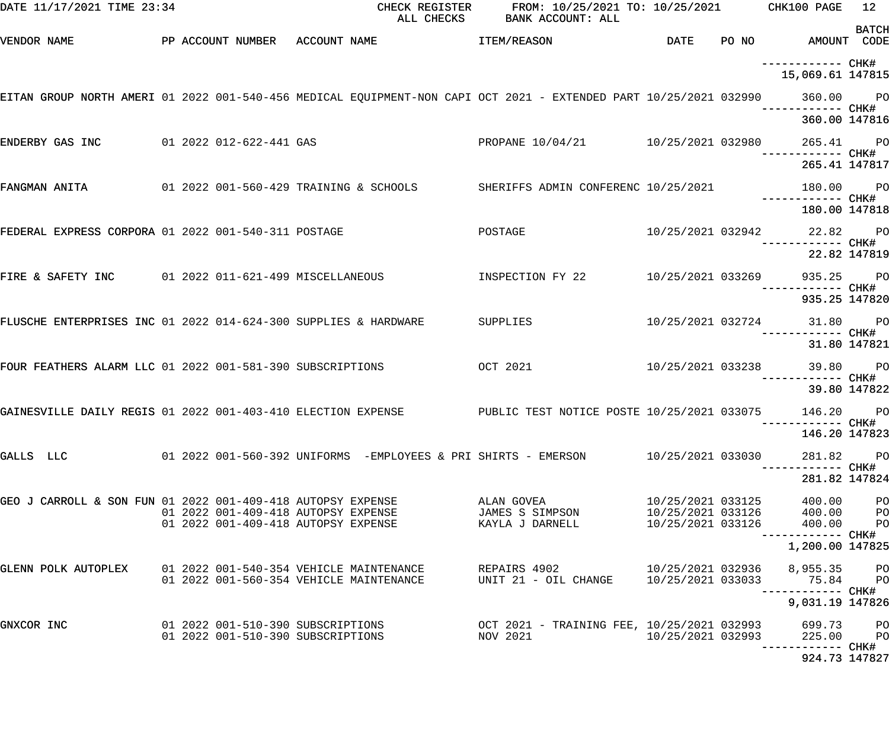| DATE 11/17/2021 TIME 23:34                                      |  |                                                                            | CHECK REGISTER<br>ALL CHECKS           | FROM: 10/25/2021 TO: 10/25/2021 CHK100 PAGE<br>BANK ACCOUNT: ALL                                                    |                                                             |                                    | 12           |
|-----------------------------------------------------------------|--|----------------------------------------------------------------------------|----------------------------------------|---------------------------------------------------------------------------------------------------------------------|-------------------------------------------------------------|------------------------------------|--------------|
| VENDOR NAME                                                     |  | PP ACCOUNT NUMBER ACCOUNT NAME                                             |                                        | <b>ITEM/REASON</b>                                                                                                  | DATE                                                        | PO NO AMOUNT CODE                  | <b>BATCH</b> |
|                                                                 |  |                                                                            |                                        |                                                                                                                     |                                                             | 15,069.61 147815                   |              |
|                                                                 |  |                                                                            |                                        | EITAN GROUP NORTH AMERI 01 2022 001-540-456 MEDICAL EQUIPMENT-NON CAPI OCT 2021 - EXTENDED PART 10/25/2021 032990   |                                                             | 360.00 PO                          |              |
|                                                                 |  |                                                                            |                                        |                                                                                                                     |                                                             | 360.00 147816                      |              |
| ENDERBY GAS INC                                                 |  | 01 2022 012-622-441 GAS                                                    |                                        | PROPANE 10/04/21 10/25/2021 032980                                                                                  |                                                             | 265.41 PO                          |              |
|                                                                 |  |                                                                            |                                        |                                                                                                                     |                                                             | 265.41 147817                      |              |
| FANGMAN ANITA                                                   |  |                                                                            | 01 2022 001-560-429 TRAINING & SCHOOLS | SHERIFFS ADMIN CONFERENC 10/25/2021                                                                                 |                                                             | 180.00 PO                          |              |
|                                                                 |  |                                                                            |                                        |                                                                                                                     |                                                             | 180.00 147818                      |              |
| FEDERAL EXPRESS CORPORA 01 2022 001-540-311 POSTAGE             |  |                                                                            |                                        | POSTAGE                                                                                                             |                                                             | 10/25/2021 032942 22.82 PO         |              |
|                                                                 |  |                                                                            |                                        |                                                                                                                     |                                                             |                                    | 22.82 147819 |
| FIRE & SAFETY INC $01\ 2022\ 011-621-499$ MISCELLANEOUS         |  |                                                                            |                                        | INSPECTION FY 22                                                                                                    | 10/25/2021 033269                                           | 935.25 PO                          |              |
|                                                                 |  |                                                                            |                                        |                                                                                                                     |                                                             | 935.25 147820                      |              |
| FLUSCHE ENTERPRISES INC 01 2022 014-624-300 SUPPLIES & HARDWARE |  |                                                                            |                                        | SUPPLIES                                                                                                            | 10/25/2021 032724                                           |                                    | 31.80 PO     |
|                                                                 |  |                                                                            |                                        |                                                                                                                     |                                                             |                                    | 31.80 147821 |
| FOUR FEATHERS ALARM LLC 01 2022 001-581-390 SUBSCRIPTIONS       |  |                                                                            |                                        | OCT 2021                                                                                                            | 10/25/2021 033238                                           | 39.80                              | <b>PO</b>    |
|                                                                 |  |                                                                            |                                        |                                                                                                                     |                                                             |                                    | 39.80 147822 |
| GAINESVILLE DAILY REGIS 01 2022 001-403-410 ELECTION EXPENSE    |  |                                                                            |                                        | PUBLIC TEST NOTICE POSTE 10/25/2021 033075                                                                          |                                                             | 146.20 PO                          |              |
|                                                                 |  |                                                                            |                                        |                                                                                                                     |                                                             | 146.20 147823                      |              |
| GALLS LLC                                                       |  |                                                                            |                                        | 01  2022  001–560–392  UNIFORMS    -EMPLOYEES  &  PRI  SHIRTS  –  EMERSON                        10/25/2021  033030 |                                                             | 281.82                             | <b>PO</b>    |
|                                                                 |  |                                                                            |                                        |                                                                                                                     |                                                             | ------------ CHK#<br>281.82 147824 |              |
| GEO J CARROLL & SON FUN 01 2022 001-409-418 AUTOPSY EXPENSE     |  |                                                                            |                                        | ALAN GOVEA                                                                                                          |                                                             | 400.00 PO                          |              |
|                                                                 |  | 01 2022 001-409-418 AUTOPSY EXPENSE<br>01 2022 001-409-418 AUTOPSY EXPENSE |                                        | JAMES S SIMPSON<br>KAYLA J DARNELL                                                                                  | 10/25/2021 033125<br>10/25/2021 033126<br>10/25/2021 033126 | 400.00 PO<br>400.00                | <b>PO</b>    |
|                                                                 |  |                                                                            |                                        |                                                                                                                     |                                                             | 1,200.00 147825                    |              |
| GLENN POLK AUTOPLEX 01 2022 001-540-354 VEHICLE MAINTENANCE     |  |                                                                            |                                        | REPAIRS 4902                                                                                                        |                                                             | 10/25/2021 032936 8,955.35 PO      |              |
|                                                                 |  | 01 2022 001-560-354 VEHICLE MAINTENANCE                                    |                                        | UNIT 21 - OIL CHANGE                                                                                                | 10/25/2021 033033                                           | 75.84 PO                           |              |
|                                                                 |  |                                                                            |                                        |                                                                                                                     |                                                             | 9,031.19 147826                    |              |
| GNXCOR INC                                                      |  | 01 2022 001-510-390 SUBSCRIPTIONS                                          |                                        | 01 2022 001-510-390 SUBSCRIPTIONS         OCT 2021 - TRAINING FEE, 10/25/2021 032993<br>NOV 2021                    | 10/25/2021 032993                                           | 699.73 PO<br>225.00 PO             |              |
|                                                                 |  |                                                                            |                                        |                                                                                                                     |                                                             | 924.73 147827                      |              |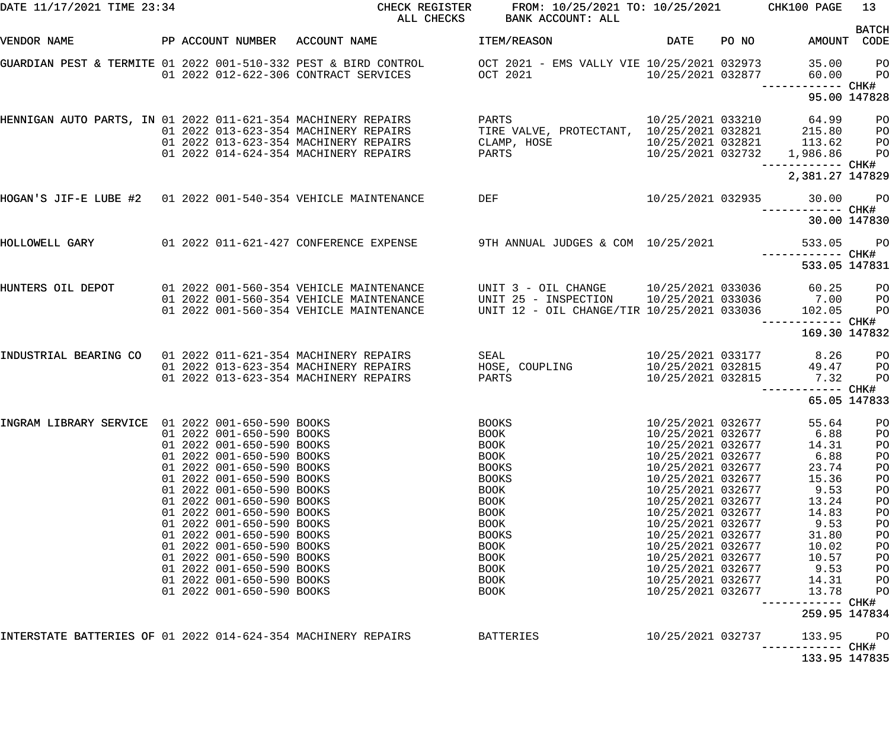| PP ACCOUNT NUMBER ACCOUNT NAME<br>DATE<br>PO NO<br>AMOUNT CODE<br>VENDOR NAME<br>ITEM/REASON<br>GUARDIAN PEST & TERMITE 01 2022 001-510-332 PEST & BIRD CONTROL       OCT 2021 - EMS VALLY VIE 10/25/2021 032973<br>35.00<br><b>PO</b><br>01 2022 012-622-306 CONTRACT SERVICES OCT 2021<br>10/25/2021 032877<br>60.00<br>P <sub>O</sub><br>------------ CHK#<br>95.00 147828<br><b>PARTS</b><br>10/25/2021 033210 64.99 PO<br>HENNIGAN AUTO PARTS, IN 01 2022 011-621-354 MACHINERY REPAIRS<br>TIRE VALVE, PROTECTANT, 10/25/2021 032821 215.80 PO<br>01  2022  013-623-354  MACHINERY REPAIRS<br>10/25/2021 032821 113.62 PO<br>01 2022 013-623-354 MACHINERY REPAIRS<br>CLAMP, HOSE<br>10/25/2021 032732 1,986.86 PO<br>PARTS<br>01 2022 014-624-354 MACHINERY REPAIRS<br>2,381.27 147829<br>DEF<br>HOGAN'S JIF-E LUBE #2 01 2022 001-540-354 VEHICLE MAINTENANCE<br>10/25/2021 032935 30.00<br><b>PO</b><br>30.00 147830<br>HOLLOWELL GARY       01 2022 011-621-427 CONFERENCE EXPENSE      9TH ANNUAL JUDGES & COM 10/25/2021<br>$P$ O<br>533.05<br>------------ CHK#<br>533.05 147831<br>UNIT 3 - OIL CHANGE 10/25/2021 033036 60.25 PO<br>HUNTERS OIL DEPOT<br>01  2022  001-560-354  VEHICLE MAINTENANCE<br>UNIT 25 - INSPECTION       10/25/2021 033036          7.00        PO<br>UNIT 12 - OIL CHANGE/TIR 10/25/2021 033036        102.05       PO<br>01 2022 001-560-354 VEHICLE MAINTENANCE<br>01 2022 001-560-354 VEHICLE MAINTENANCE<br>169.30 147832<br>SEAL<br>$10/25/2021$ 033177 8.26<br>INDUSTRIAL BEARING CO 01 2022 011-621-354 MACHINERY REPAIRS<br>P <sub>O</sub><br>HOSE, COUPLING<br>10/25/2021 032815<br>49.47 PO<br>01  2022  013-623-354  MACHINERY REPAIRS<br>10/25/2021 032815 7.32<br>PO<br>PARTS<br>01 2022 013-623-354 MACHINERY REPAIRS<br>65.05 147833<br>10/25/2021 032677<br>01 2022 001-650-590 BOOKS<br>55.64<br><b>BOOKS</b><br>PO<br>01 2022 001-650-590 BOOKS<br>BOOK<br>10/25/2021 032677<br>6.88<br>PO<br>01 2022 001-650-590 BOOKS<br>10/25/2021 032677<br>BOOK<br>14.31<br>PO<br>01 2022 001-650-590 BOOKS<br>10/25/2021 032677<br>6.88<br>BOOK<br>PO<br>01 2022 001-650-590 BOOKS<br>10/25/2021 032677<br><b>BOOKS</b><br>23.74<br>PO<br>01 2022 001-650-590 BOOKS<br><b>BOOKS</b><br>10/25/2021 032677<br>15.36<br>PO<br>01 2022 001-650-590 BOOKS<br>9.53<br>BOOK<br>10/25/2021 032677<br>PO<br>01 2022 001-650-590 BOOKS<br>BOOK<br>10/25/2021 032677<br>13.24<br>PO<br>01 2022 001-650-590 BOOKS<br>BOOK<br>10/25/2021 032677<br>14.83<br>PO<br>01 2022 001-650-590 BOOKS<br>9.53<br>BOOK<br>10/25/2021 032677<br>PO<br>01 2022 001-650-590 BOOKS<br>31.80<br><b>BOOKS</b><br>10/25/2021 032677<br>PO<br>01 2022 001-650-590 BOOKS<br>BOOK<br>10/25/2021 032677<br>10.02<br>PO<br>01 2022 001-650-590 BOOKS<br>BOOK<br>10/25/2021 032677<br>10.57<br>PO<br>01 2022 001-650-590 BOOKS<br>BOOK<br>10/25/2021 032677<br>9.53<br>PO<br>01 2022 001-650-590 BOOKS<br>BOOK<br>10/25/2021 032677<br>14.31<br>PO<br>01 2022 001-650-590 BOOKS<br>BOOK<br>10/25/2021 032677<br>13.78<br>PO<br>CHK#<br>259.95 147834<br>INTERSTATE BATTERIES OF 01 2022 014-624-354 MACHINERY REPAIRS<br><b>BATTERIES</b><br>10/25/2021 032737<br>PO<br>133.95<br>CHK#<br>------------<br>133.95 147835 | DATE 11/17/2021 TIME 23:34 |  |  | CHECK REGISTER FROM: 10/25/2021 TO: 10/25/2021 CHK100 PAGE<br>ALL CHECKS BANK ACCOUNT: ALL |  | 13           |
|------------------------------------------------------------------------------------------------------------------------------------------------------------------------------------------------------------------------------------------------------------------------------------------------------------------------------------------------------------------------------------------------------------------------------------------------------------------------------------------------------------------------------------------------------------------------------------------------------------------------------------------------------------------------------------------------------------------------------------------------------------------------------------------------------------------------------------------------------------------------------------------------------------------------------------------------------------------------------------------------------------------------------------------------------------------------------------------------------------------------------------------------------------------------------------------------------------------------------------------------------------------------------------------------------------------------------------------------------------------------------------------------------------------------------------------------------------------------------------------------------------------------------------------------------------------------------------------------------------------------------------------------------------------------------------------------------------------------------------------------------------------------------------------------------------------------------------------------------------------------------------------------------------------------------------------------------------------------------------------------------------------------------------------------------------------------------------------------------------------------------------------------------------------------------------------------------------------------------------------------------------------------------------------------------------------------------------------------------------------------------------------------------------------------------------------------------------------------------------------------------------------------------------------------------------------------------------------------------------------------------------------------------------------------------------------------------------------------------------------------------------------------------------------------------------------------------------------------------------------------------------------------------------------------------------------------------------------------------------------------------------------------------------------------------------------------------------------------------------------------------------------------------------------------------------------------------------------------------------|----------------------------|--|--|--------------------------------------------------------------------------------------------|--|--------------|
|                                                                                                                                                                                                                                                                                                                                                                                                                                                                                                                                                                                                                                                                                                                                                                                                                                                                                                                                                                                                                                                                                                                                                                                                                                                                                                                                                                                                                                                                                                                                                                                                                                                                                                                                                                                                                                                                                                                                                                                                                                                                                                                                                                                                                                                                                                                                                                                                                                                                                                                                                                                                                                                                                                                                                                                                                                                                                                                                                                                                                                                                                                                                                                                                                                    |                            |  |  |                                                                                            |  | <b>BATCH</b> |
|                                                                                                                                                                                                                                                                                                                                                                                                                                                                                                                                                                                                                                                                                                                                                                                                                                                                                                                                                                                                                                                                                                                                                                                                                                                                                                                                                                                                                                                                                                                                                                                                                                                                                                                                                                                                                                                                                                                                                                                                                                                                                                                                                                                                                                                                                                                                                                                                                                                                                                                                                                                                                                                                                                                                                                                                                                                                                                                                                                                                                                                                                                                                                                                                                                    |                            |  |  |                                                                                            |  |              |
|                                                                                                                                                                                                                                                                                                                                                                                                                                                                                                                                                                                                                                                                                                                                                                                                                                                                                                                                                                                                                                                                                                                                                                                                                                                                                                                                                                                                                                                                                                                                                                                                                                                                                                                                                                                                                                                                                                                                                                                                                                                                                                                                                                                                                                                                                                                                                                                                                                                                                                                                                                                                                                                                                                                                                                                                                                                                                                                                                                                                                                                                                                                                                                                                                                    |                            |  |  |                                                                                            |  |              |
|                                                                                                                                                                                                                                                                                                                                                                                                                                                                                                                                                                                                                                                                                                                                                                                                                                                                                                                                                                                                                                                                                                                                                                                                                                                                                                                                                                                                                                                                                                                                                                                                                                                                                                                                                                                                                                                                                                                                                                                                                                                                                                                                                                                                                                                                                                                                                                                                                                                                                                                                                                                                                                                                                                                                                                                                                                                                                                                                                                                                                                                                                                                                                                                                                                    |                            |  |  |                                                                                            |  |              |
|                                                                                                                                                                                                                                                                                                                                                                                                                                                                                                                                                                                                                                                                                                                                                                                                                                                                                                                                                                                                                                                                                                                                                                                                                                                                                                                                                                                                                                                                                                                                                                                                                                                                                                                                                                                                                                                                                                                                                                                                                                                                                                                                                                                                                                                                                                                                                                                                                                                                                                                                                                                                                                                                                                                                                                                                                                                                                                                                                                                                                                                                                                                                                                                                                                    |                            |  |  |                                                                                            |  |              |
|                                                                                                                                                                                                                                                                                                                                                                                                                                                                                                                                                                                                                                                                                                                                                                                                                                                                                                                                                                                                                                                                                                                                                                                                                                                                                                                                                                                                                                                                                                                                                                                                                                                                                                                                                                                                                                                                                                                                                                                                                                                                                                                                                                                                                                                                                                                                                                                                                                                                                                                                                                                                                                                                                                                                                                                                                                                                                                                                                                                                                                                                                                                                                                                                                                    |                            |  |  |                                                                                            |  |              |
|                                                                                                                                                                                                                                                                                                                                                                                                                                                                                                                                                                                                                                                                                                                                                                                                                                                                                                                                                                                                                                                                                                                                                                                                                                                                                                                                                                                                                                                                                                                                                                                                                                                                                                                                                                                                                                                                                                                                                                                                                                                                                                                                                                                                                                                                                                                                                                                                                                                                                                                                                                                                                                                                                                                                                                                                                                                                                                                                                                                                                                                                                                                                                                                                                                    |                            |  |  |                                                                                            |  |              |
|                                                                                                                                                                                                                                                                                                                                                                                                                                                                                                                                                                                                                                                                                                                                                                                                                                                                                                                                                                                                                                                                                                                                                                                                                                                                                                                                                                                                                                                                                                                                                                                                                                                                                                                                                                                                                                                                                                                                                                                                                                                                                                                                                                                                                                                                                                                                                                                                                                                                                                                                                                                                                                                                                                                                                                                                                                                                                                                                                                                                                                                                                                                                                                                                                                    |                            |  |  |                                                                                            |  |              |
|                                                                                                                                                                                                                                                                                                                                                                                                                                                                                                                                                                                                                                                                                                                                                                                                                                                                                                                                                                                                                                                                                                                                                                                                                                                                                                                                                                                                                                                                                                                                                                                                                                                                                                                                                                                                                                                                                                                                                                                                                                                                                                                                                                                                                                                                                                                                                                                                                                                                                                                                                                                                                                                                                                                                                                                                                                                                                                                                                                                                                                                                                                                                                                                                                                    |                            |  |  |                                                                                            |  |              |
|                                                                                                                                                                                                                                                                                                                                                                                                                                                                                                                                                                                                                                                                                                                                                                                                                                                                                                                                                                                                                                                                                                                                                                                                                                                                                                                                                                                                                                                                                                                                                                                                                                                                                                                                                                                                                                                                                                                                                                                                                                                                                                                                                                                                                                                                                                                                                                                                                                                                                                                                                                                                                                                                                                                                                                                                                                                                                                                                                                                                                                                                                                                                                                                                                                    |                            |  |  |                                                                                            |  |              |
|                                                                                                                                                                                                                                                                                                                                                                                                                                                                                                                                                                                                                                                                                                                                                                                                                                                                                                                                                                                                                                                                                                                                                                                                                                                                                                                                                                                                                                                                                                                                                                                                                                                                                                                                                                                                                                                                                                                                                                                                                                                                                                                                                                                                                                                                                                                                                                                                                                                                                                                                                                                                                                                                                                                                                                                                                                                                                                                                                                                                                                                                                                                                                                                                                                    |                            |  |  |                                                                                            |  |              |
|                                                                                                                                                                                                                                                                                                                                                                                                                                                                                                                                                                                                                                                                                                                                                                                                                                                                                                                                                                                                                                                                                                                                                                                                                                                                                                                                                                                                                                                                                                                                                                                                                                                                                                                                                                                                                                                                                                                                                                                                                                                                                                                                                                                                                                                                                                                                                                                                                                                                                                                                                                                                                                                                                                                                                                                                                                                                                                                                                                                                                                                                                                                                                                                                                                    |                            |  |  |                                                                                            |  |              |
|                                                                                                                                                                                                                                                                                                                                                                                                                                                                                                                                                                                                                                                                                                                                                                                                                                                                                                                                                                                                                                                                                                                                                                                                                                                                                                                                                                                                                                                                                                                                                                                                                                                                                                                                                                                                                                                                                                                                                                                                                                                                                                                                                                                                                                                                                                                                                                                                                                                                                                                                                                                                                                                                                                                                                                                                                                                                                                                                                                                                                                                                                                                                                                                                                                    |                            |  |  |                                                                                            |  |              |
|                                                                                                                                                                                                                                                                                                                                                                                                                                                                                                                                                                                                                                                                                                                                                                                                                                                                                                                                                                                                                                                                                                                                                                                                                                                                                                                                                                                                                                                                                                                                                                                                                                                                                                                                                                                                                                                                                                                                                                                                                                                                                                                                                                                                                                                                                                                                                                                                                                                                                                                                                                                                                                                                                                                                                                                                                                                                                                                                                                                                                                                                                                                                                                                                                                    |                            |  |  |                                                                                            |  |              |
|                                                                                                                                                                                                                                                                                                                                                                                                                                                                                                                                                                                                                                                                                                                                                                                                                                                                                                                                                                                                                                                                                                                                                                                                                                                                                                                                                                                                                                                                                                                                                                                                                                                                                                                                                                                                                                                                                                                                                                                                                                                                                                                                                                                                                                                                                                                                                                                                                                                                                                                                                                                                                                                                                                                                                                                                                                                                                                                                                                                                                                                                                                                                                                                                                                    |                            |  |  |                                                                                            |  |              |
|                                                                                                                                                                                                                                                                                                                                                                                                                                                                                                                                                                                                                                                                                                                                                                                                                                                                                                                                                                                                                                                                                                                                                                                                                                                                                                                                                                                                                                                                                                                                                                                                                                                                                                                                                                                                                                                                                                                                                                                                                                                                                                                                                                                                                                                                                                                                                                                                                                                                                                                                                                                                                                                                                                                                                                                                                                                                                                                                                                                                                                                                                                                                                                                                                                    |                            |  |  |                                                                                            |  |              |
|                                                                                                                                                                                                                                                                                                                                                                                                                                                                                                                                                                                                                                                                                                                                                                                                                                                                                                                                                                                                                                                                                                                                                                                                                                                                                                                                                                                                                                                                                                                                                                                                                                                                                                                                                                                                                                                                                                                                                                                                                                                                                                                                                                                                                                                                                                                                                                                                                                                                                                                                                                                                                                                                                                                                                                                                                                                                                                                                                                                                                                                                                                                                                                                                                                    |                            |  |  |                                                                                            |  |              |
|                                                                                                                                                                                                                                                                                                                                                                                                                                                                                                                                                                                                                                                                                                                                                                                                                                                                                                                                                                                                                                                                                                                                                                                                                                                                                                                                                                                                                                                                                                                                                                                                                                                                                                                                                                                                                                                                                                                                                                                                                                                                                                                                                                                                                                                                                                                                                                                                                                                                                                                                                                                                                                                                                                                                                                                                                                                                                                                                                                                                                                                                                                                                                                                                                                    |                            |  |  |                                                                                            |  |              |
|                                                                                                                                                                                                                                                                                                                                                                                                                                                                                                                                                                                                                                                                                                                                                                                                                                                                                                                                                                                                                                                                                                                                                                                                                                                                                                                                                                                                                                                                                                                                                                                                                                                                                                                                                                                                                                                                                                                                                                                                                                                                                                                                                                                                                                                                                                                                                                                                                                                                                                                                                                                                                                                                                                                                                                                                                                                                                                                                                                                                                                                                                                                                                                                                                                    |                            |  |  |                                                                                            |  |              |
|                                                                                                                                                                                                                                                                                                                                                                                                                                                                                                                                                                                                                                                                                                                                                                                                                                                                                                                                                                                                                                                                                                                                                                                                                                                                                                                                                                                                                                                                                                                                                                                                                                                                                                                                                                                                                                                                                                                                                                                                                                                                                                                                                                                                                                                                                                                                                                                                                                                                                                                                                                                                                                                                                                                                                                                                                                                                                                                                                                                                                                                                                                                                                                                                                                    |                            |  |  |                                                                                            |  |              |
|                                                                                                                                                                                                                                                                                                                                                                                                                                                                                                                                                                                                                                                                                                                                                                                                                                                                                                                                                                                                                                                                                                                                                                                                                                                                                                                                                                                                                                                                                                                                                                                                                                                                                                                                                                                                                                                                                                                                                                                                                                                                                                                                                                                                                                                                                                                                                                                                                                                                                                                                                                                                                                                                                                                                                                                                                                                                                                                                                                                                                                                                                                                                                                                                                                    |                            |  |  |                                                                                            |  |              |
|                                                                                                                                                                                                                                                                                                                                                                                                                                                                                                                                                                                                                                                                                                                                                                                                                                                                                                                                                                                                                                                                                                                                                                                                                                                                                                                                                                                                                                                                                                                                                                                                                                                                                                                                                                                                                                                                                                                                                                                                                                                                                                                                                                                                                                                                                                                                                                                                                                                                                                                                                                                                                                                                                                                                                                                                                                                                                                                                                                                                                                                                                                                                                                                                                                    |                            |  |  |                                                                                            |  |              |
|                                                                                                                                                                                                                                                                                                                                                                                                                                                                                                                                                                                                                                                                                                                                                                                                                                                                                                                                                                                                                                                                                                                                                                                                                                                                                                                                                                                                                                                                                                                                                                                                                                                                                                                                                                                                                                                                                                                                                                                                                                                                                                                                                                                                                                                                                                                                                                                                                                                                                                                                                                                                                                                                                                                                                                                                                                                                                                                                                                                                                                                                                                                                                                                                                                    |                            |  |  |                                                                                            |  |              |
|                                                                                                                                                                                                                                                                                                                                                                                                                                                                                                                                                                                                                                                                                                                                                                                                                                                                                                                                                                                                                                                                                                                                                                                                                                                                                                                                                                                                                                                                                                                                                                                                                                                                                                                                                                                                                                                                                                                                                                                                                                                                                                                                                                                                                                                                                                                                                                                                                                                                                                                                                                                                                                                                                                                                                                                                                                                                                                                                                                                                                                                                                                                                                                                                                                    |                            |  |  |                                                                                            |  |              |
|                                                                                                                                                                                                                                                                                                                                                                                                                                                                                                                                                                                                                                                                                                                                                                                                                                                                                                                                                                                                                                                                                                                                                                                                                                                                                                                                                                                                                                                                                                                                                                                                                                                                                                                                                                                                                                                                                                                                                                                                                                                                                                                                                                                                                                                                                                                                                                                                                                                                                                                                                                                                                                                                                                                                                                                                                                                                                                                                                                                                                                                                                                                                                                                                                                    |                            |  |  |                                                                                            |  |              |
|                                                                                                                                                                                                                                                                                                                                                                                                                                                                                                                                                                                                                                                                                                                                                                                                                                                                                                                                                                                                                                                                                                                                                                                                                                                                                                                                                                                                                                                                                                                                                                                                                                                                                                                                                                                                                                                                                                                                                                                                                                                                                                                                                                                                                                                                                                                                                                                                                                                                                                                                                                                                                                                                                                                                                                                                                                                                                                                                                                                                                                                                                                                                                                                                                                    |                            |  |  |                                                                                            |  |              |
|                                                                                                                                                                                                                                                                                                                                                                                                                                                                                                                                                                                                                                                                                                                                                                                                                                                                                                                                                                                                                                                                                                                                                                                                                                                                                                                                                                                                                                                                                                                                                                                                                                                                                                                                                                                                                                                                                                                                                                                                                                                                                                                                                                                                                                                                                                                                                                                                                                                                                                                                                                                                                                                                                                                                                                                                                                                                                                                                                                                                                                                                                                                                                                                                                                    | INGRAM LIBRARY SERVICE     |  |  |                                                                                            |  |              |
|                                                                                                                                                                                                                                                                                                                                                                                                                                                                                                                                                                                                                                                                                                                                                                                                                                                                                                                                                                                                                                                                                                                                                                                                                                                                                                                                                                                                                                                                                                                                                                                                                                                                                                                                                                                                                                                                                                                                                                                                                                                                                                                                                                                                                                                                                                                                                                                                                                                                                                                                                                                                                                                                                                                                                                                                                                                                                                                                                                                                                                                                                                                                                                                                                                    |                            |  |  |                                                                                            |  |              |
|                                                                                                                                                                                                                                                                                                                                                                                                                                                                                                                                                                                                                                                                                                                                                                                                                                                                                                                                                                                                                                                                                                                                                                                                                                                                                                                                                                                                                                                                                                                                                                                                                                                                                                                                                                                                                                                                                                                                                                                                                                                                                                                                                                                                                                                                                                                                                                                                                                                                                                                                                                                                                                                                                                                                                                                                                                                                                                                                                                                                                                                                                                                                                                                                                                    |                            |  |  |                                                                                            |  |              |
|                                                                                                                                                                                                                                                                                                                                                                                                                                                                                                                                                                                                                                                                                                                                                                                                                                                                                                                                                                                                                                                                                                                                                                                                                                                                                                                                                                                                                                                                                                                                                                                                                                                                                                                                                                                                                                                                                                                                                                                                                                                                                                                                                                                                                                                                                                                                                                                                                                                                                                                                                                                                                                                                                                                                                                                                                                                                                                                                                                                                                                                                                                                                                                                                                                    |                            |  |  |                                                                                            |  |              |
|                                                                                                                                                                                                                                                                                                                                                                                                                                                                                                                                                                                                                                                                                                                                                                                                                                                                                                                                                                                                                                                                                                                                                                                                                                                                                                                                                                                                                                                                                                                                                                                                                                                                                                                                                                                                                                                                                                                                                                                                                                                                                                                                                                                                                                                                                                                                                                                                                                                                                                                                                                                                                                                                                                                                                                                                                                                                                                                                                                                                                                                                                                                                                                                                                                    |                            |  |  |                                                                                            |  |              |
|                                                                                                                                                                                                                                                                                                                                                                                                                                                                                                                                                                                                                                                                                                                                                                                                                                                                                                                                                                                                                                                                                                                                                                                                                                                                                                                                                                                                                                                                                                                                                                                                                                                                                                                                                                                                                                                                                                                                                                                                                                                                                                                                                                                                                                                                                                                                                                                                                                                                                                                                                                                                                                                                                                                                                                                                                                                                                                                                                                                                                                                                                                                                                                                                                                    |                            |  |  |                                                                                            |  |              |
|                                                                                                                                                                                                                                                                                                                                                                                                                                                                                                                                                                                                                                                                                                                                                                                                                                                                                                                                                                                                                                                                                                                                                                                                                                                                                                                                                                                                                                                                                                                                                                                                                                                                                                                                                                                                                                                                                                                                                                                                                                                                                                                                                                                                                                                                                                                                                                                                                                                                                                                                                                                                                                                                                                                                                                                                                                                                                                                                                                                                                                                                                                                                                                                                                                    |                            |  |  |                                                                                            |  |              |
|                                                                                                                                                                                                                                                                                                                                                                                                                                                                                                                                                                                                                                                                                                                                                                                                                                                                                                                                                                                                                                                                                                                                                                                                                                                                                                                                                                                                                                                                                                                                                                                                                                                                                                                                                                                                                                                                                                                                                                                                                                                                                                                                                                                                                                                                                                                                                                                                                                                                                                                                                                                                                                                                                                                                                                                                                                                                                                                                                                                                                                                                                                                                                                                                                                    |                            |  |  |                                                                                            |  |              |
|                                                                                                                                                                                                                                                                                                                                                                                                                                                                                                                                                                                                                                                                                                                                                                                                                                                                                                                                                                                                                                                                                                                                                                                                                                                                                                                                                                                                                                                                                                                                                                                                                                                                                                                                                                                                                                                                                                                                                                                                                                                                                                                                                                                                                                                                                                                                                                                                                                                                                                                                                                                                                                                                                                                                                                                                                                                                                                                                                                                                                                                                                                                                                                                                                                    |                            |  |  |                                                                                            |  |              |
|                                                                                                                                                                                                                                                                                                                                                                                                                                                                                                                                                                                                                                                                                                                                                                                                                                                                                                                                                                                                                                                                                                                                                                                                                                                                                                                                                                                                                                                                                                                                                                                                                                                                                                                                                                                                                                                                                                                                                                                                                                                                                                                                                                                                                                                                                                                                                                                                                                                                                                                                                                                                                                                                                                                                                                                                                                                                                                                                                                                                                                                                                                                                                                                                                                    |                            |  |  |                                                                                            |  |              |
|                                                                                                                                                                                                                                                                                                                                                                                                                                                                                                                                                                                                                                                                                                                                                                                                                                                                                                                                                                                                                                                                                                                                                                                                                                                                                                                                                                                                                                                                                                                                                                                                                                                                                                                                                                                                                                                                                                                                                                                                                                                                                                                                                                                                                                                                                                                                                                                                                                                                                                                                                                                                                                                                                                                                                                                                                                                                                                                                                                                                                                                                                                                                                                                                                                    |                            |  |  |                                                                                            |  |              |
|                                                                                                                                                                                                                                                                                                                                                                                                                                                                                                                                                                                                                                                                                                                                                                                                                                                                                                                                                                                                                                                                                                                                                                                                                                                                                                                                                                                                                                                                                                                                                                                                                                                                                                                                                                                                                                                                                                                                                                                                                                                                                                                                                                                                                                                                                                                                                                                                                                                                                                                                                                                                                                                                                                                                                                                                                                                                                                                                                                                                                                                                                                                                                                                                                                    |                            |  |  |                                                                                            |  |              |
|                                                                                                                                                                                                                                                                                                                                                                                                                                                                                                                                                                                                                                                                                                                                                                                                                                                                                                                                                                                                                                                                                                                                                                                                                                                                                                                                                                                                                                                                                                                                                                                                                                                                                                                                                                                                                                                                                                                                                                                                                                                                                                                                                                                                                                                                                                                                                                                                                                                                                                                                                                                                                                                                                                                                                                                                                                                                                                                                                                                                                                                                                                                                                                                                                                    |                            |  |  |                                                                                            |  |              |
|                                                                                                                                                                                                                                                                                                                                                                                                                                                                                                                                                                                                                                                                                                                                                                                                                                                                                                                                                                                                                                                                                                                                                                                                                                                                                                                                                                                                                                                                                                                                                                                                                                                                                                                                                                                                                                                                                                                                                                                                                                                                                                                                                                                                                                                                                                                                                                                                                                                                                                                                                                                                                                                                                                                                                                                                                                                                                                                                                                                                                                                                                                                                                                                                                                    |                            |  |  |                                                                                            |  |              |
|                                                                                                                                                                                                                                                                                                                                                                                                                                                                                                                                                                                                                                                                                                                                                                                                                                                                                                                                                                                                                                                                                                                                                                                                                                                                                                                                                                                                                                                                                                                                                                                                                                                                                                                                                                                                                                                                                                                                                                                                                                                                                                                                                                                                                                                                                                                                                                                                                                                                                                                                                                                                                                                                                                                                                                                                                                                                                                                                                                                                                                                                                                                                                                                                                                    |                            |  |  |                                                                                            |  |              |
|                                                                                                                                                                                                                                                                                                                                                                                                                                                                                                                                                                                                                                                                                                                                                                                                                                                                                                                                                                                                                                                                                                                                                                                                                                                                                                                                                                                                                                                                                                                                                                                                                                                                                                                                                                                                                                                                                                                                                                                                                                                                                                                                                                                                                                                                                                                                                                                                                                                                                                                                                                                                                                                                                                                                                                                                                                                                                                                                                                                                                                                                                                                                                                                                                                    |                            |  |  |                                                                                            |  |              |
|                                                                                                                                                                                                                                                                                                                                                                                                                                                                                                                                                                                                                                                                                                                                                                                                                                                                                                                                                                                                                                                                                                                                                                                                                                                                                                                                                                                                                                                                                                                                                                                                                                                                                                                                                                                                                                                                                                                                                                                                                                                                                                                                                                                                                                                                                                                                                                                                                                                                                                                                                                                                                                                                                                                                                                                                                                                                                                                                                                                                                                                                                                                                                                                                                                    |                            |  |  |                                                                                            |  |              |
|                                                                                                                                                                                                                                                                                                                                                                                                                                                                                                                                                                                                                                                                                                                                                                                                                                                                                                                                                                                                                                                                                                                                                                                                                                                                                                                                                                                                                                                                                                                                                                                                                                                                                                                                                                                                                                                                                                                                                                                                                                                                                                                                                                                                                                                                                                                                                                                                                                                                                                                                                                                                                                                                                                                                                                                                                                                                                                                                                                                                                                                                                                                                                                                                                                    |                            |  |  |                                                                                            |  |              |
|                                                                                                                                                                                                                                                                                                                                                                                                                                                                                                                                                                                                                                                                                                                                                                                                                                                                                                                                                                                                                                                                                                                                                                                                                                                                                                                                                                                                                                                                                                                                                                                                                                                                                                                                                                                                                                                                                                                                                                                                                                                                                                                                                                                                                                                                                                                                                                                                                                                                                                                                                                                                                                                                                                                                                                                                                                                                                                                                                                                                                                                                                                                                                                                                                                    |                            |  |  |                                                                                            |  |              |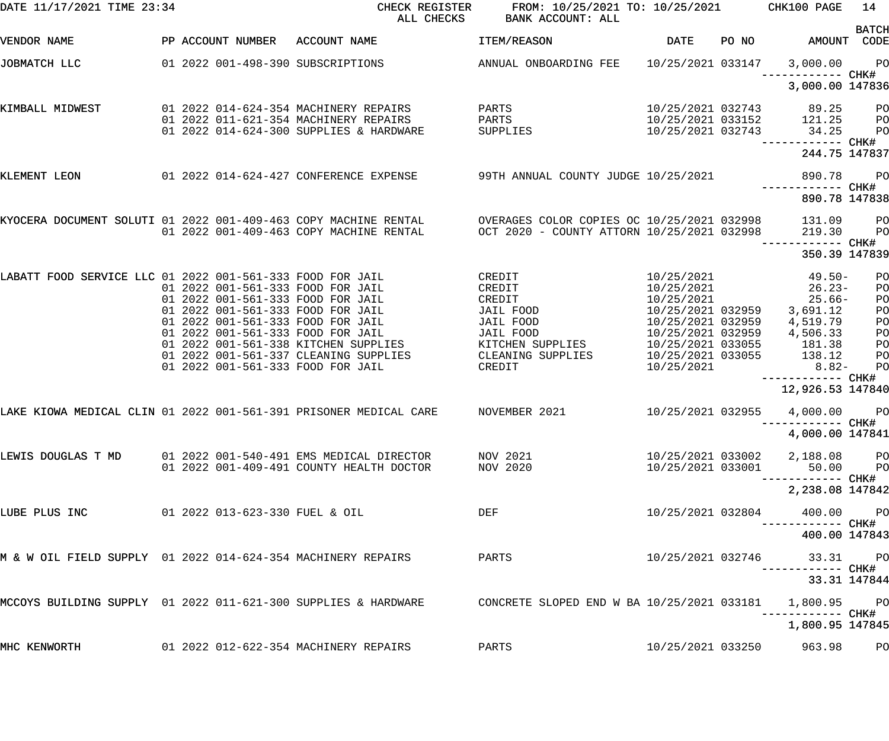| DATE 11/17/2021 TIME 23:34                                        |                                                                                         |              | CHECK REGISTER<br>ALL CHECKS                                               |                      | FROM: 10/25/2021 TO: 10/25/2021<br>BANK ACCOUNT: ALL                                     |                                        |       | CHK100 PAGE                           | 14                               |
|-------------------------------------------------------------------|-----------------------------------------------------------------------------------------|--------------|----------------------------------------------------------------------------|----------------------|------------------------------------------------------------------------------------------|----------------------------------------|-------|---------------------------------------|----------------------------------|
| VENDOR NAME                                                       | PP ACCOUNT NUMBER                                                                       | ACCOUNT NAME |                                                                            | ITEM/REASON          |                                                                                          | <b>DATE</b>                            | PO NO | AMOUNT                                | <b>BATCH</b><br>CODE             |
| JOBMATCH LLC                                                      | 01 2022 001-498-390 SUBSCRIPTIONS                                                       |              |                                                                            |                      | ANNUAL ONBOARDING FEE                                                                    | 10/25/2021 033147                      |       | 3,000.00<br>------------ CHK#         | $P$ O                            |
|                                                                   |                                                                                         |              |                                                                            |                      |                                                                                          |                                        |       | 3,000.00 147836                       |                                  |
| KIMBALL MIDWEST                                                   | 01 2022 014-624-354 MACHINERY REPAIRS<br>01 2022 011-621-354 MACHINERY REPAIRS          |              |                                                                            | PARTS<br>PARTS       |                                                                                          | 10/25/2021 032743<br>10/25/2021 033152 |       | 89.25<br>121.25                       | P <sub>O</sub><br>P <sub>O</sub> |
|                                                                   | 01 2022 014-624-300 SUPPLIES & HARDWARE                                                 |              |                                                                            | SUPPLIES             |                                                                                          | 10/25/2021 032743                      |       | 34.25<br>------------ CHK#            | PO                               |
|                                                                   |                                                                                         |              |                                                                            |                      |                                                                                          |                                        |       | 244.75 147837                         |                                  |
| KLEMENT LEON                                                      |                                                                                         |              | 01 2022 014-624-427 CONFERENCE EXPENSE 39TH ANNUAL COUNTY JUDGE 10/25/2021 |                      |                                                                                          |                                        |       | 890.78<br>------------ CHK#           | P <sub>O</sub>                   |
|                                                                   |                                                                                         |              |                                                                            |                      |                                                                                          |                                        |       | 890.78 147838                         |                                  |
| KYOCERA DOCUMENT SOLUTI 01 2022 001-409-463 COPY MACHINE RENTAL   | 01 2022 001-409-463 COPY MACHINE RENTAL                                                 |              |                                                                            |                      | OVERAGES COLOR COPIES OC 10/25/2021 032998<br>OCT 2020 - COUNTY ATTORN 10/25/2021 032998 |                                        |       | 131.09<br>219.30<br>------------ CHK# | PO<br>PO                         |
|                                                                   |                                                                                         |              |                                                                            |                      |                                                                                          |                                        |       | 350.39 147839                         |                                  |
| LABATT FOOD SERVICE LLC 01 2022 001-561-333 FOOD FOR JAIL         | 01 2022 001-561-333 FOOD FOR JAIL                                                       |              |                                                                            | CREDIT<br>CREDIT     |                                                                                          | 10/25/2021<br>10/25/2021               |       | 49.50-<br>$26.23-$                    | PO<br>PO                         |
|                                                                   | 01 2022 001-561-333 FOOD FOR JAIL<br>01 2022 001-561-333 FOOD FOR JAIL                  |              |                                                                            | CREDIT<br>JAIL FOOD  |                                                                                          | 10/25/2021<br>10/25/2021 032959        |       | $25.66-$<br>3,691.12                  | PO<br>PO                         |
|                                                                   | 01 2022 001-561-333 FOOD FOR JAIL                                                       |              |                                                                            | JAIL FOOD            |                                                                                          | 10/25/2021 032959                      |       | 4,519.79                              | PO                               |
|                                                                   | 01 2022 001-561-333 FOOD FOR JAIL<br>01 2022 001-561-338 KITCHEN SUPPLIES               |              |                                                                            | JAIL FOOD            | KITCHEN SUPPLIES                                                                         | 10/25/2021 032959<br>10/25/2021 033055 |       | 4,506.33<br>181.38                    | PO<br>PO                         |
|                                                                   | 01 2022 001-561-337 CLEANING SUPPLIES                                                   |              |                                                                            | CLEANING SUPPLIES    |                                                                                          | 10/25/2021 033055                      |       | 138.12                                | PO                               |
|                                                                   | 01 2022 001-561-333 FOOD FOR JAIL                                                       |              |                                                                            | CREDIT               |                                                                                          | 10/25/2021                             |       | $8.82-$<br>------------ CHK#          | PO                               |
|                                                                   |                                                                                         |              |                                                                            |                      |                                                                                          |                                        |       | 12,926.53 147840                      |                                  |
| LAKE KIOWA MEDICAL CLIN 01 2022 001-561-391 PRISONER MEDICAL CARE |                                                                                         |              |                                                                            | NOVEMBER 2021        |                                                                                          | 10/25/2021 032955                      |       | 4,000.00<br>------------ CHK#         | PO                               |
|                                                                   |                                                                                         |              |                                                                            |                      |                                                                                          |                                        |       | 4,000.00 147841                       |                                  |
| LEWIS DOUGLAS T MD                                                | 01  2022  001-540-491 EMS  MEDICAL DIRECTOR<br>01 2022 001-409-491 COUNTY HEALTH DOCTOR |              |                                                                            | NOV 2021<br>NOV 2020 |                                                                                          | 10/25/2021 033002<br>10/25/2021 033001 |       | 2,188.08 PO<br>50.00 PO               |                                  |
|                                                                   |                                                                                         |              |                                                                            |                      |                                                                                          |                                        |       | ----------- CHK#<br>2,238.08 147842   |                                  |
| LUBE PLUS INC                                                     | 01 2022 013-623-330 FUEL & OIL                                                          |              |                                                                            | DEF                  |                                                                                          | 10/25/2021 032804                      |       | 400.00<br>----------- CHK#            | PO <sub>1</sub>                  |
|                                                                   |                                                                                         |              |                                                                            |                      |                                                                                          |                                        |       | 400.00 147843                         |                                  |
| M & W OIL FIELD SUPPLY 01 2022 014-624-354 MACHINERY REPAIRS      |                                                                                         |              |                                                                            | PARTS                |                                                                                          | 10/25/2021 032746                      |       | 33.31 PO                              |                                  |
|                                                                   |                                                                                         |              |                                                                            |                      |                                                                                          |                                        |       | 33.31 147844                          |                                  |
| MCCOYS BUILDING SUPPLY 01 2022 011-621-300 SUPPLIES & HARDWARE    |                                                                                         |              |                                                                            |                      | CONCRETE SLOPED END W BA 10/25/2021 033181                                               |                                        |       | 1,800.95 PO<br>------------ CHK#      |                                  |
|                                                                   |                                                                                         |              |                                                                            |                      |                                                                                          |                                        |       | 1,800.95 147845                       |                                  |
| MHC KENWORTH                                                      | 01 2022 012-622-354 MACHINERY REPAIRS                                                   |              |                                                                            | PARTS                |                                                                                          | 10/25/2021 033250                      |       | 963.98                                | P <sub>O</sub>                   |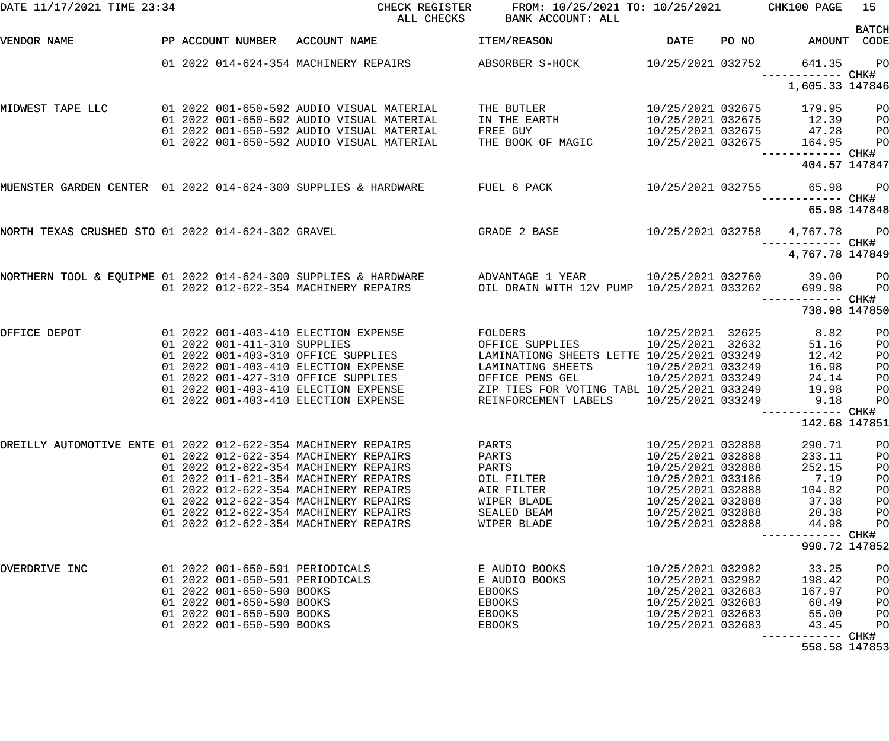| DATE 11/17/2021 TIME 23:34                                                 |  |                              |                                                                                        | CHECK REGISTER<br>ALL CHECKS | FROM: 10/25/2021 TO: 10/25/2021 CHK100 PAGE<br><b>BANK ACCOUNT: ALL</b>                                  |                                        |       |                                              | 15<br><b>BATCH</b>   |
|----------------------------------------------------------------------------|--|------------------------------|----------------------------------------------------------------------------------------|------------------------------|----------------------------------------------------------------------------------------------------------|----------------------------------------|-------|----------------------------------------------|----------------------|
| VENDOR NAME                                                                |  |                              | PP ACCOUNT NUMBER ACCOUNT NAME                                                         |                              | ITEM/REASON                                                                                              | DATE                                   | PO NO | AMOUNT                                       | CODE                 |
|                                                                            |  |                              | 01 2022 014-624-354 MACHINERY REPAIRS                                                  |                              | ABSORBER S-HOCK 10/25/2021 032752                                                                        |                                        |       | 641.35<br>------------ CHK#                  | $P$ O                |
|                                                                            |  |                              |                                                                                        |                              |                                                                                                          |                                        |       | 1,605.33 147846                              |                      |
| MIDWEST TAPE LLC                                                           |  |                              | 01 2022 001-650-592 AUDIO VISUAL MATERIAL                                              |                              | THE BUTLER                                                                                               | 10/25/2021 032675                      |       | 179.95                                       | PO                   |
|                                                                            |  |                              | 01 2022 001-650-592 AUDIO VISUAL MATERIAL<br>01 2022 001-650-592 AUDIO VISUAL MATERIAL |                              | IN THE EARTH<br>FREE GUY                                                                                 | 10/25/2021 032675<br>10/25/2021 032675 |       | 12.39                                        | P <sub>O</sub><br>PO |
|                                                                            |  |                              | 01 2022 001-650-592 AUDIO VISUAL MATERIAL                                              |                              | THE BOOK OF MAGIC                                                                                        | 10/25/2021 032675                      |       | $47.28$<br>$164.95$                          | P <sub>O</sub>       |
|                                                                            |  |                              |                                                                                        |                              |                                                                                                          |                                        |       | ------------ CHK#                            |                      |
|                                                                            |  |                              |                                                                                        |                              |                                                                                                          |                                        |       | 404.57 147847                                |                      |
| MUENSTER GARDEN CENTER 01 2022 014-624-300 SUPPLIES & HARDWARE FUEL 6 PACK |  |                              |                                                                                        |                              |                                                                                                          |                                        |       | 10/25/2021 032755 65.98<br>------------ CHK# | $P$ O                |
|                                                                            |  |                              |                                                                                        |                              |                                                                                                          |                                        |       |                                              | 65.98 147848         |
| NORTH TEXAS CRUSHED STO 01 2022 014-624-302 GRAVEL                         |  |                              |                                                                                        |                              | GRADE 2 BASE                                                                                             |                                        |       | 10/25/2021 032758 4,767.78                   | <b>PO</b>            |
|                                                                            |  |                              |                                                                                        |                              |                                                                                                          |                                        |       | ------------ CHK#<br>4,767.78 147849         |                      |
|                                                                            |  |                              |                                                                                        |                              | NORTHERN TOOL & EQUIPME 01 2022 014-624-300 SUPPLIES & HARDWARE ADVANTAGE 1 YEAR 10/25/2021 032760 39.00 |                                        |       |                                              | P <sub>O</sub>       |
|                                                                            |  |                              | 01 2022 012-622-354 MACHINERY REPAIRS                                                  |                              | OIL DRAIN WITH 12V PUMP 10/25/2021 033262                                                                |                                        |       | 699.98<br>------------ CHK#                  | P <sub>O</sub>       |
|                                                                            |  |                              |                                                                                        |                              |                                                                                                          |                                        |       | 738.98 147850                                |                      |
| OFFICE DEPOT                                                               |  |                              | 01 2022 001-403-410 ELECTION EXPENSE                                                   |                              | FOLDERS                                                                                                  | 10/25/2021 32625                       |       | 8.82                                         | PO                   |
|                                                                            |  | 01 2022 001-411-310 SUPPLIES |                                                                                        |                              | OFFICE SUPPLIES                                                                                          | 10/25/2021 32632                       |       | 51.16                                        | PO                   |
|                                                                            |  |                              | 01 2022 001-403-310 OFFICE SUPPLIES<br>01 2022 001-403-410 ELECTION EXPENSE            |                              | LAMINATIONG SHEETS LETTE 10/25/2021 033249                                                               | 10/25/2021 033249                      |       | 12.42<br>16.98                               | PO                   |
|                                                                            |  |                              | 01 2022 001-427-310 OFFICE SUPPLIES                                                    |                              | LAMINATING SHEETS<br>OFFICE PENS GEL                                                                     | 10/25/2021 033249                      |       | 24.14                                        | PO<br>PO             |
|                                                                            |  |                              | 01 2022 001-403-410 ELECTION EXPENSE                                                   |                              | ZIP TIES FOR VOTING TABL 10/25/2021 033249                                                               |                                        |       | 19.98                                        | PO                   |
|                                                                            |  |                              | 01 2022 001-403-410 ELECTION EXPENSE                                                   |                              | REINFORCEMENT LABELS                                                                                     | 10/25/2021 033249                      |       | 9.18                                         | PO                   |
|                                                                            |  |                              |                                                                                        |                              |                                                                                                          |                                        |       |                                              |                      |
|                                                                            |  |                              |                                                                                        |                              |                                                                                                          |                                        |       | 142.68 147851                                |                      |
| OREILLY AUTOMOTIVE ENTE 01 2022 012-622-354 MACHINERY REPAIRS              |  |                              |                                                                                        |                              | PARTS                                                                                                    | 10/25/2021 032888                      |       | 290.71                                       | PO                   |
|                                                                            |  |                              | 01 2022 012-622-354 MACHINERY REPAIRS                                                  |                              | PARTS                                                                                                    | 10/25/2021 032888                      |       | 233.11                                       | PO                   |
|                                                                            |  |                              | 01 2022 012-622-354 MACHINERY REPAIRS<br>01 2022 011-621-354 MACHINERY REPAIRS         |                              | PARTS                                                                                                    | 10/25/2021 032888<br>10/25/2021 033186 |       | 252.15<br>7.19                               | PO                   |
|                                                                            |  |                              | 01 2022 012-622-354 MACHINERY REPAIRS                                                  |                              | OIL FILTER<br>AIR FILTER                                                                                 | 10/25/2021 032888                      |       | 104.82                                       | PO<br>PO             |
|                                                                            |  |                              | 01 2022 012-622-354 MACHINERY REPAIRS                                                  |                              | WIPER BLADE                                                                                              | 10/25/2021 032888                      |       | 37.38                                        | PO                   |
|                                                                            |  |                              | 01 2022 012-622-354 MACHINERY REPAIRS                                                  |                              | SEALED BEAM                                                                                              | 10/25/2021 032888                      |       | 20.38                                        | PO                   |
|                                                                            |  |                              | 01 2022 012-622-354 MACHINERY REPAIRS                                                  |                              | WIPER BLADE                                                                                              | 10/25/2021 032888                      |       | 44.98                                        | PO                   |
|                                                                            |  |                              |                                                                                        |                              |                                                                                                          |                                        |       | ------------ CHK#<br>990.72 147852           |                      |
|                                                                            |  |                              |                                                                                        |                              |                                                                                                          |                                        |       |                                              |                      |
| OVERDRIVE INC                                                              |  |                              | 01 2022 001-650-591 PERIODICALS<br>01 2022 001-650-591 PERIODICALS                     |                              | E AUDIO BOOKS<br>E AUDIO BOOKS                                                                           | 10/25/2021 032982<br>10/25/2021 032982 |       | 33.25<br>198.42                              | PO<br>PO             |
|                                                                            |  | 01 2022 001-650-590 BOOKS    |                                                                                        |                              | EBOOKS                                                                                                   | 10/25/2021 032683                      |       | 167.97                                       | PO                   |
|                                                                            |  | 01 2022 001-650-590 BOOKS    |                                                                                        |                              | EBOOKS                                                                                                   | 10/25/2021 032683                      |       | 60.49                                        | PO                   |
|                                                                            |  | 01 2022 001-650-590 BOOKS    |                                                                                        |                              | EBOOKS                                                                                                   | 10/25/2021 032683                      |       | 55.00                                        | PO                   |
|                                                                            |  | 01 2022 001-650-590 BOOKS    |                                                                                        |                              | EBOOKS                                                                                                   | 10/25/2021 032683                      |       | 43.45                                        | PO                   |
|                                                                            |  |                              |                                                                                        |                              |                                                                                                          |                                        |       | ------------ CHK#                            |                      |
|                                                                            |  |                              |                                                                                        |                              |                                                                                                          |                                        |       | 558.58 147853                                |                      |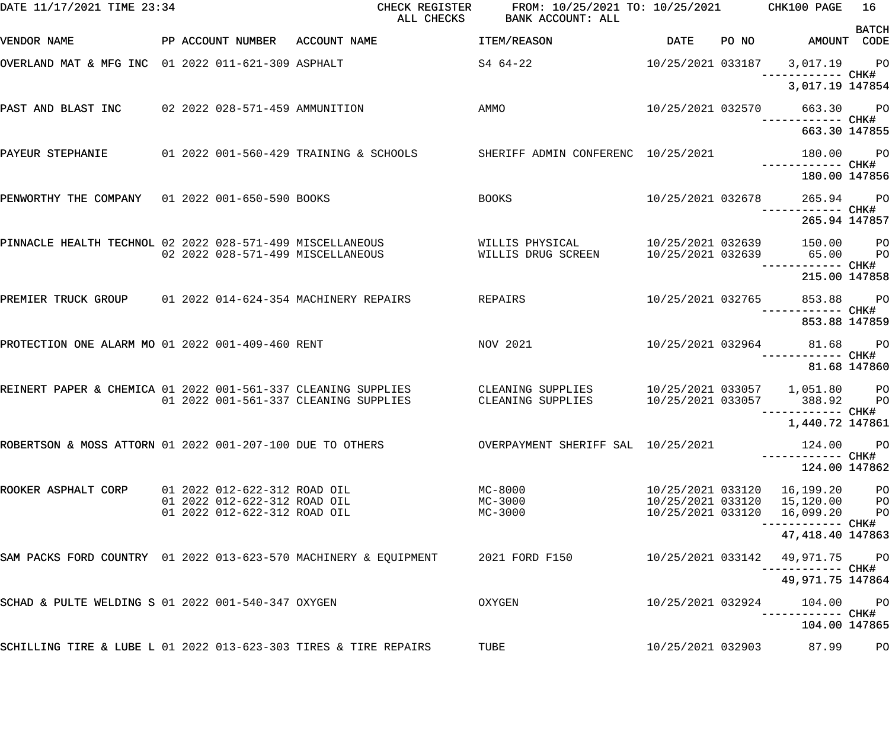| DATE 11/17/2021 TIME 23:34                                       |                                                                                              | CHECK REGISTER<br>ALL CHECKS           | FROM: 10/25/2021 TO: 10/25/2021 CHK100 PAGE<br>BANK ACCOUNT: ALL |                                        |       |                                                                            | 16                               |
|------------------------------------------------------------------|----------------------------------------------------------------------------------------------|----------------------------------------|------------------------------------------------------------------|----------------------------------------|-------|----------------------------------------------------------------------------|----------------------------------|
| VENDOR NAME                                                      | PP ACCOUNT NUMBER                                                                            | ACCOUNT NAME                           | ITEM/REASON                                                      | DATE                                   | PO NO | AMOUNT CODE                                                                | <b>BATCH</b>                     |
| OVERLAND MAT & MFG INC 01 2022 011-621-309 ASPHALT               |                                                                                              |                                        | S4 64-22                                                         |                                        |       | 10/25/2021 033187 3,017.19 PO<br>——————————— CHK#                          |                                  |
|                                                                  |                                                                                              |                                        |                                                                  |                                        |       | 3,017.19 147854                                                            |                                  |
| PAST AND BLAST INC 02 2022 028-571-459 AMMUNITION                |                                                                                              |                                        | AMMO                                                             | 10/25/2021 032570                      |       | 663.30 PO                                                                  |                                  |
|                                                                  |                                                                                              |                                        |                                                                  |                                        |       | 663.30 147855                                                              |                                  |
| PAYEUR STEPHANIE                                                 |                                                                                              | 01 2022 001-560-429 TRAINING & SCHOOLS | SHERIFF ADMIN CONFERENC 10/25/2021                               |                                        |       | 180.00 PO<br>------------ CHK#                                             |                                  |
|                                                                  |                                                                                              |                                        |                                                                  |                                        |       | 180.00 147856                                                              |                                  |
| PENWORTHY THE COMPANY 01 2022 001-650-590 BOOKS                  |                                                                                              |                                        | <b>BOOKS</b>                                                     | 10/25/2021 032678                      |       | 265.94 PO                                                                  |                                  |
|                                                                  |                                                                                              |                                        |                                                                  |                                        |       | 265.94 147857                                                              |                                  |
| PINNACLE HEALTH TECHNOL 02 2022 028-571-499 MISCELLANEOUS        |                                                                                              | 02 2022 028-571-499 MISCELLANEOUS      | WILLIS PHYSICAL<br>WILLIS DRUG SCREEN                            | 10/25/2021 032639<br>10/25/2021 032639 |       | 150.00<br>65.00                                                            | <b>PO</b><br><b>PO</b>           |
|                                                                  |                                                                                              |                                        |                                                                  |                                        |       | 215.00 147858                                                              |                                  |
| PREMIER TRUCK GROUP 01 2022 014-624-354 MACHINERY REPAIRS        |                                                                                              |                                        | REPAIRS                                                          | 10/25/2021 032765                      |       | 853.88 PO                                                                  |                                  |
|                                                                  |                                                                                              |                                        |                                                                  |                                        |       | 853.88 147859                                                              |                                  |
| PROTECTION ONE ALARM MO 01 2022 001-409-460 RENT                 |                                                                                              |                                        | NOV 2021                                                         |                                        |       | 10/25/2021 032964 81.68 PO<br>------------ CHK#                            |                                  |
|                                                                  |                                                                                              |                                        |                                                                  |                                        |       | 81.68 147860                                                               |                                  |
| REINERT PAPER & CHEMICA 01 2022 001-561-337 CLEANING SUPPLIES    |                                                                                              | 01 2022 001-561-337 CLEANING SUPPLIES  | CLEANING SUPPLIES<br>CLEANING SUPPLIES                           | 10/25/2021 033057                      |       | 10/25/2021 033057 1,051.80 PO<br>388.92<br>—————————— CHK#                 | PO <sub>1</sub>                  |
|                                                                  |                                                                                              |                                        |                                                                  |                                        |       | 1,440.72 147861                                                            |                                  |
| ROBERTSON & MOSS ATTORN 01 2022 001-207-100 DUE TO OTHERS        |                                                                                              |                                        | OVERPAYMENT SHERIFF SAL 10/25/2021                               |                                        |       | 124.00                                                                     | $P$ O                            |
|                                                                  |                                                                                              |                                        |                                                                  |                                        |       | 124.00 147862                                                              |                                  |
| ROOKER ASPHALT CORP                                              | 01 2022 012-622-312 ROAD OIL<br>01 2022 012-622-312 ROAD OIL<br>01 2022 012-622-312 ROAD OIL |                                        | MC-8000<br>MC-3000<br>MC-3000                                    | 10/25/2021 033120                      |       | 10/25/2021 033120 16,199.20<br>10/25/2021 033120 15,120.00 PO<br>16,099.20 | P <sub>O</sub><br>P <sub>O</sub> |
|                                                                  |                                                                                              |                                        |                                                                  |                                        |       | ---------- CHK#<br>47, 418.40 147863                                       |                                  |
| SAM PACKS FORD COUNTRY 01 2022 013-623-570 MACHINERY & EQUIPMENT |                                                                                              |                                        | 2021 FORD F150                                                   | 10/25/2021 033142                      |       | 49,971.75<br>----------- CHK#                                              | <b>PO</b>                        |
|                                                                  |                                                                                              |                                        |                                                                  |                                        |       | 49,971.75 147864                                                           |                                  |
| SCHAD & PULTE WELDING S 01 2022 001-540-347 OXYGEN               |                                                                                              |                                        | OXYGEN                                                           | 10/25/2021 032924                      |       | 104.00                                                                     | $P$ O                            |
|                                                                  |                                                                                              |                                        |                                                                  |                                        |       | 104.00 147865                                                              |                                  |
| SCHILLING TIRE & LUBE L 01 2022 013-623-303 TIRES & TIRE REPAIRS |                                                                                              |                                        | TUBE                                                             | 10/25/2021 032903                      |       | 87.99                                                                      | PO                               |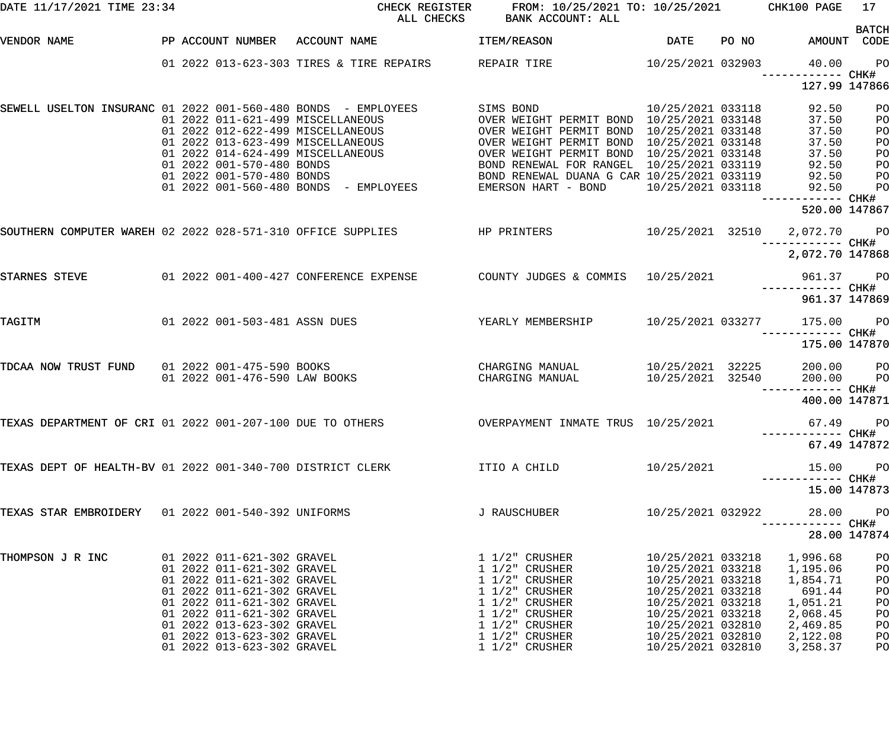| DATE 11/17/2021 TIME 23:34                                 |  | CHECK REGISTER<br>ALL CHECKS BANK ACCOUNT: ALL                                                                                                                                                                                               |                                                                                                                                                                                                                                            | FROM: 10/25/2021 TO: 10/25/2021 CHK100 PAGE                                                                                                                              | 17                                                                                                                                                                   |                                                                                            |                                              |
|------------------------------------------------------------|--|----------------------------------------------------------------------------------------------------------------------------------------------------------------------------------------------------------------------------------------------|--------------------------------------------------------------------------------------------------------------------------------------------------------------------------------------------------------------------------------------------|--------------------------------------------------------------------------------------------------------------------------------------------------------------------------|----------------------------------------------------------------------------------------------------------------------------------------------------------------------|--------------------------------------------------------------------------------------------|----------------------------------------------|
| VENDOR NAME                                                |  |                                                                                                                                                                                                                                              | PP ACCOUNT NUMBER ACCOUNT NAME                                                                                                                                                                                                             | <b>ITEM/REASON</b>                                                                                                                                                       |                                                                                                                                                                      | DATE PO NO AMOUNT CODE                                                                     | <b>BATCH</b>                                 |
|                                                            |  |                                                                                                                                                                                                                                              | 01 2022 013-623-303 TIRES & TIRE REPAIRS REPAIR TIRE 10/25/2021 032903 40.00                                                                                                                                                               |                                                                                                                                                                          |                                                                                                                                                                      | ------------ CHK#                                                                          | PO <sub>1</sub>                              |
|                                                            |  |                                                                                                                                                                                                                                              |                                                                                                                                                                                                                                            |                                                                                                                                                                          |                                                                                                                                                                      | 127.99 147866                                                                              |                                              |
|                                                            |  |                                                                                                                                                                                                                                              | SEWELL USELTON INSURANC 01 2022 001-560-480 BONDS - EMPLOYEES                                                                                                                                                                              | SIMS BOND<br>OVER WEIGHT PERMIT BOND 10/25/2021 033148<br>OVER WEIGHT PERMIT BOND 10/25/2021 033148                                                                      | 10/25/2021 033118                                                                                                                                                    | 92.50<br>37.50<br>37.50                                                                    | P <sub>O</sub><br>PO<br>PO                   |
|                                                            |  |                                                                                                                                                                                                                                              | 01 2022 011-621-499 MISCELLANEOUS<br>01 2022 012-622-499 MISCELLANEOUS<br>01 2022 013-623-499 MISCELLANEOUS<br>01 2022 013-623-499 MISCELLANEOUS<br>02 2022 014-624-499 MISCELLANEOUS<br>02 2022 014-624-499 MISCELLANEOUS<br>02 2022 014- |                                                                                                                                                                          |                                                                                                                                                                      | 37.50<br>37.50<br>92.50                                                                    | PO<br>PO<br>PO                               |
|                                                            |  |                                                                                                                                                                                                                                              | 01 2022 001-570-480 BONDS<br>01 2022 001-570-480 BONDS<br>01 2022 001-560-480 BONDS - EMPLOYEES BOND RENEWAL DUANA G CAR 10/25/2021 033119<br>01 2022 001-560-480 BONDS - EMPLOYEES EMERSON HART - BOND 10/25/2021 033118                  |                                                                                                                                                                          |                                                                                                                                                                      | 92.50<br>92.50<br>------------ CHK#                                                        | P <sub>O</sub><br>P <sub>O</sub>             |
|                                                            |  |                                                                                                                                                                                                                                              |                                                                                                                                                                                                                                            |                                                                                                                                                                          |                                                                                                                                                                      | 520.00 147867                                                                              |                                              |
|                                                            |  |                                                                                                                                                                                                                                              | SOUTHERN COMPUTER WAREH 02 2022 028-571-310 OFFICE SUPPLIES THE PRINTERS 10/25/2021 32510 2,072.70 PO                                                                                                                                      |                                                                                                                                                                          |                                                                                                                                                                      | ------------ CHK#                                                                          |                                              |
|                                                            |  |                                                                                                                                                                                                                                              |                                                                                                                                                                                                                                            |                                                                                                                                                                          |                                                                                                                                                                      | 2,072.70 147868                                                                            |                                              |
| STARNES STEVE                                              |  |                                                                                                                                                                                                                                              | 01  2022  001-400-427  CONFERENCE EXPENSE  COUNTY JUDGES & COMMIS  10/25/2021                                                                                                                                                              |                                                                                                                                                                          |                                                                                                                                                                      | 961.37 PO<br>------------ CHK#                                                             |                                              |
|                                                            |  |                                                                                                                                                                                                                                              |                                                                                                                                                                                                                                            |                                                                                                                                                                          |                                                                                                                                                                      | 961.37 147869                                                                              |                                              |
| TAGITM                                                     |  |                                                                                                                                                                                                                                              | 01 2022 001-503-481 ASSN DUES TEARLY MEMBERSHIP 10/25/2021 033277                                                                                                                                                                          |                                                                                                                                                                          |                                                                                                                                                                      | 175.00 PO<br>------------ CHK#                                                             |                                              |
|                                                            |  |                                                                                                                                                                                                                                              |                                                                                                                                                                                                                                            |                                                                                                                                                                          |                                                                                                                                                                      | 175.00 147870                                                                              |                                              |
| TDCAA NOW TRUST FUND 01 2022 001-475-590 BOOKS             |  |                                                                                                                                                                                                                                              |                                                                                                                                                                                                                                            |                                                                                                                                                                          | 10/25/2021 32225<br>10/25/2021 32540                                                                                                                                 | 200.00 PO<br>200.00                                                                        | <b>PO</b>                                    |
|                                                            |  |                                                                                                                                                                                                                                              |                                                                                                                                                                                                                                            |                                                                                                                                                                          |                                                                                                                                                                      | 400.00 147871                                                                              |                                              |
| TEXAS DEPARTMENT OF CRI 01 2022 001-207-100 DUE TO OTHERS  |  |                                                                                                                                                                                                                                              |                                                                                                                                                                                                                                            | OVERPAYMENT INMATE TRUS 10/25/2021                                                                                                                                       |                                                                                                                                                                      | 67.49 PO<br>------------ CHK#                                                              |                                              |
|                                                            |  |                                                                                                                                                                                                                                              |                                                                                                                                                                                                                                            |                                                                                                                                                                          |                                                                                                                                                                      |                                                                                            | 67.49 147872                                 |
| TEXAS DEPT OF HEALTH-BV 01 2022 001-340-700 DISTRICT CLERK |  |                                                                                                                                                                                                                                              |                                                                                                                                                                                                                                            | ITIO A CHILD                                                                                                                                                             | 10/25/2021                                                                                                                                                           | 15.00                                                                                      | P <sub>O</sub>                               |
|                                                            |  |                                                                                                                                                                                                                                              |                                                                                                                                                                                                                                            |                                                                                                                                                                          |                                                                                                                                                                      |                                                                                            | 15.00 147873                                 |
| TEXAS STAR EMBROIDERY 01 2022 001-540-392 UNIFORMS         |  |                                                                                                                                                                                                                                              |                                                                                                                                                                                                                                            | J RAUSCHUBER                                                                                                                                                             | 10/25/2021 032922                                                                                                                                                    | 28.00<br>------------                                                                      | P <sub>O</sub><br>CHK#                       |
|                                                            |  |                                                                                                                                                                                                                                              |                                                                                                                                                                                                                                            |                                                                                                                                                                          |                                                                                                                                                                      |                                                                                            | 28.00 147874                                 |
| THOMPSON J R INC                                           |  | 01 2022 011-621-302 GRAVEL<br>01 2022 011-621-302 GRAVEL<br>01 2022 011-621-302 GRAVEL<br>01 2022 011-621-302 GRAVEL<br>01 2022 011-621-302 GRAVEL<br>01 2022 011-621-302 GRAVEL<br>01 2022 013-623-302 GRAVEL<br>01 2022 013-623-302 GRAVEL |                                                                                                                                                                                                                                            | 1 1/2" CRUSHER<br>$1\;1/2$ " CRUSHER<br>$1\;1/2$ " CRUSHER<br>$1\ 1/2$ " CRUSHER<br>$1\ 1/2$ " CRUSHER<br>$1\;1/2$ " CRUSHER<br>$1\;1/2$ " CRUSHER<br>$1\;1/2$ " CRUSHER | 10/25/2021 033218<br>10/25/2021 033218<br>10/25/2021 033218<br>10/25/2021 033218<br>10/25/2021 033218<br>10/25/2021 033218<br>10/25/2021 032810<br>10/25/2021 032810 | 1,996.68<br>1,195.06<br>1,854.71<br>691.44<br>1,051.21<br>2,068.45<br>2,469.85<br>2,122.08 | PO<br>PO<br>PO<br>PO<br>PO<br>PO<br>PO<br>PO |
|                                                            |  | 01 2022 013-623-302 GRAVEL                                                                                                                                                                                                                   |                                                                                                                                                                                                                                            | $1\frac{1}{2}$ CRUSHER                                                                                                                                                   | 10/25/2021 032810                                                                                                                                                    | 3,258.37                                                                                   | PO                                           |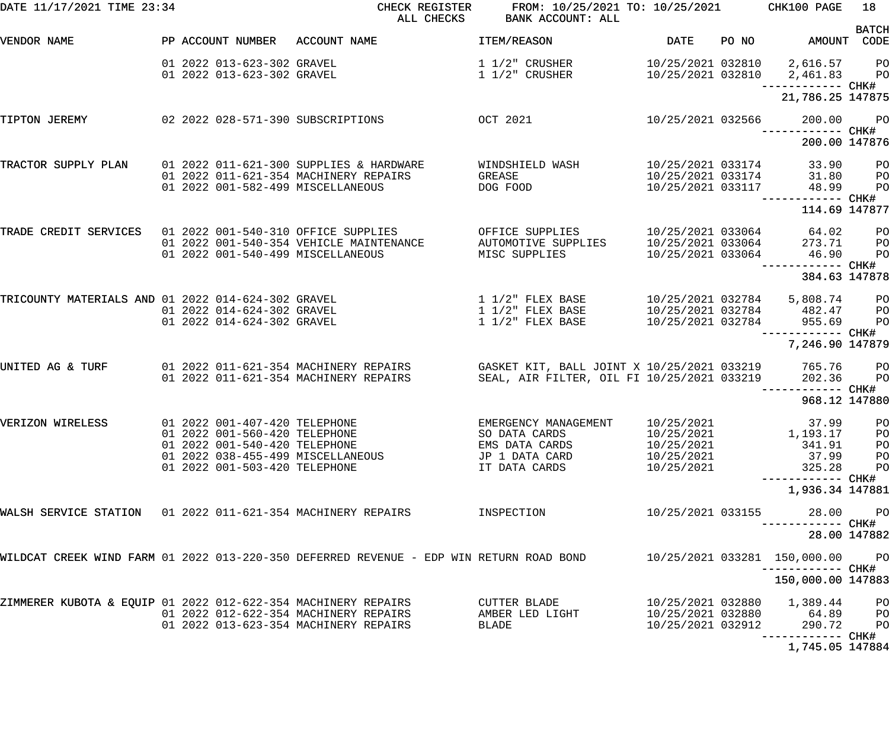| DATE 11/17/2021 TIME 23:34                                    |  |                                                                                                                                  | CHECK REGISTER<br>ALL CHECKS                                                                                          | FROM: 10/25/2021 TO: 10/25/2021<br>BANK ACCOUNT: ALL                                                  |                                                             |       | CHK100 PAGE                                                                           | 18<br><b>BATCH</b>                                 |
|---------------------------------------------------------------|--|----------------------------------------------------------------------------------------------------------------------------------|-----------------------------------------------------------------------------------------------------------------------|-------------------------------------------------------------------------------------------------------|-------------------------------------------------------------|-------|---------------------------------------------------------------------------------------|----------------------------------------------------|
| VENDOR NAME                                                   |  |                                                                                                                                  | PP ACCOUNT NUMBER ACCOUNT NAME                                                                                        | ITEM/REASON                                                                                           | DATE                                                        | PO NO | AMOUNT CODE                                                                           |                                                    |
|                                                               |  | 01 2022 013-623-302 GRAVEL<br>01 2022 013-623-302 GRAVEL                                                                         |                                                                                                                       | $1\ 1/2$ " CRUSHER<br>1 1/2" CRUSHER                                                                  |                                                             |       | 10/25/2021 032810 2,616.57 PO<br>10/25/2021 032810 2,461.83 PO                        |                                                    |
|                                                               |  |                                                                                                                                  |                                                                                                                       |                                                                                                       |                                                             |       | 21,786.25 147875                                                                      |                                                    |
| TIPTON JEREMY                                                 |  |                                                                                                                                  | 02 2022 028-571-390 SUBSCRIPTIONS<br><b>OCT 2021</b>                                                                  |                                                                                                       | 10/25/2021 032566                                           |       | 200.00                                                                                | <b>PO</b>                                          |
|                                                               |  |                                                                                                                                  |                                                                                                                       |                                                                                                       |                                                             |       | 200.00 147876                                                                         |                                                    |
| TRACTOR SUPPLY PLAN                                           |  |                                                                                                                                  | 01 2022 011-621-300 SUPPLIES & HARDWARE<br>01 2022 011-621-354 MACHINERY REPAIRS<br>01 2022 001-582-499 MISCELLANEOUS | WINDSHIELD WASH<br>GREASE<br>DOG FOOD                                                                 | 10/25/2021 033174<br>10/25/2021 033174<br>10/25/2021 033117 |       | 33.90 PO<br>31.80<br>48.99                                                            | $P$ O<br>PO                                        |
|                                                               |  |                                                                                                                                  |                                                                                                                       |                                                                                                       |                                                             |       | ------ CHK#<br>114.69 147877                                                          |                                                    |
| TRADE CREDIT SERVICES 01 2022 001-540-310 OFFICE SUPPLIES     |  |                                                                                                                                  | 01 2022 001-540-354 VEHICLE MAINTENANCE<br>01 2022 001-540-499 MISCELLANEOUS                                          | OFFICE SUPPLIES<br>AUTOMOTIVE SUPPLIES<br>MISC SUPPLIES                                               | 10/25/2021 033064                                           |       | 10/25/2021 033064 64.02<br>10/25/2021 033064 273.71<br>46.90<br>----------- CHK#      | PO <sub>1</sub><br>P <sub>O</sub><br>PO            |
|                                                               |  |                                                                                                                                  |                                                                                                                       |                                                                                                       |                                                             |       | 384.63 147878                                                                         |                                                    |
| TRICOUNTY MATERIALS AND 01 2022 014-624-302 GRAVEL            |  | 01 2022 014-624-302 GRAVEL<br>01 2022 014-624-302 GRAVEL                                                                         |                                                                                                                       | $1\ 1/2$ " FLEX BASE<br>$1\ 1/2$ " FLEX BASE<br>$1\ 1/2$ " FLEX BASE                                  |                                                             |       | 10/25/2021 032784 5,808.74 PO<br>10/25/2021 032784 482.47<br>10/25/2021 032784 955.69 | P <sub>O</sub><br>PO                               |
|                                                               |  |                                                                                                                                  |                                                                                                                       |                                                                                                       |                                                             |       | ------------ CHK#<br>7,246.90 147879                                                  |                                                    |
| UNITED AG & TURF                                              |  |                                                                                                                                  | 01 2022 011-621-354 MACHINERY REPAIRS<br>01 2022 011-621-354 MACHINERY REPAIRS                                        | GASKET KIT, BALL JOINT X 10/25/2021 033219 765.76 PO<br>SEAL, AIR FILTER, OIL FI 10/25/2021 033219    |                                                             |       | 202.36                                                                                | <b>PO</b>                                          |
|                                                               |  |                                                                                                                                  |                                                                                                                       |                                                                                                       |                                                             |       | 968.12 147880                                                                         |                                                    |
| VERIZON WIRELESS                                              |  | 01 2022 001-407-420 TELEPHONE<br>01 2022 001-560-420 TELEPHONE<br>01 2022 001-540-420 TELEPHONE<br>01 2022 001-503-420 TELEPHONE | 01  2022  038-455-499  MISCELLANEOUS                                                                                  | EMERGENCY MANAGEMENT 10/25/2021<br>SO DATA CARDS<br>EMS DATA CARDS<br>JP 1 DATA CARD<br>IT DATA CARDS | 10/25/2021<br>10/25/2021<br>10/25/2021<br>10/25/2021        |       | 37.99 PO<br>1,193.17<br>341.91<br>37.99<br>325.28                                     | PO<br>PO<br>PO<br>PO                               |
|                                                               |  |                                                                                                                                  |                                                                                                                       |                                                                                                       |                                                             |       | —————————— CHK#<br>1,936.34 147881                                                    |                                                    |
| WALSH SERVICE STATION 01 2022 011-621-354 MACHINERY REPAIRS   |  |                                                                                                                                  |                                                                                                                       | INSPECTION                                                                                            | 10/25/2021 033155                                           |       | 28.00<br>---------- CHK#                                                              | P <sub>O</sub>                                     |
|                                                               |  |                                                                                                                                  |                                                                                                                       |                                                                                                       |                                                             |       |                                                                                       | 28.00 147882                                       |
|                                                               |  |                                                                                                                                  | WILDCAT CREEK WIND FARM 01 2022 013-220-350 DEFERRED REVENUE - EDP WIN RETURN ROAD BOND                               |                                                                                                       |                                                             |       | 10/25/2021 033281 150,000.00<br>-----------  CHK#                                     | P <sub>O</sub>                                     |
|                                                               |  |                                                                                                                                  |                                                                                                                       |                                                                                                       |                                                             |       | 150,000.00 147883                                                                     |                                                    |
| ZIMMERER KUBOTA & EQUIP 01 2022 012-622-354 MACHINERY REPAIRS |  |                                                                                                                                  | 01 2022 012-622-354 MACHINERY REPAIRS<br>01 2022 013-623-354 MACHINERY REPAIRS                                        | CUTTER BLADE<br>AMBER LED LIGHT<br>BLADE                                                              | 10/25/2021 032880<br>10/25/2021 032880<br>10/25/2021 032912 |       | 1,389.44<br>64.89<br>290.72                                                           | P <sub>O</sub><br>P <sub>O</sub><br>P <sub>O</sub> |
|                                                               |  |                                                                                                                                  |                                                                                                                       |                                                                                                       |                                                             |       | 1,745.05 147884                                                                       |                                                    |